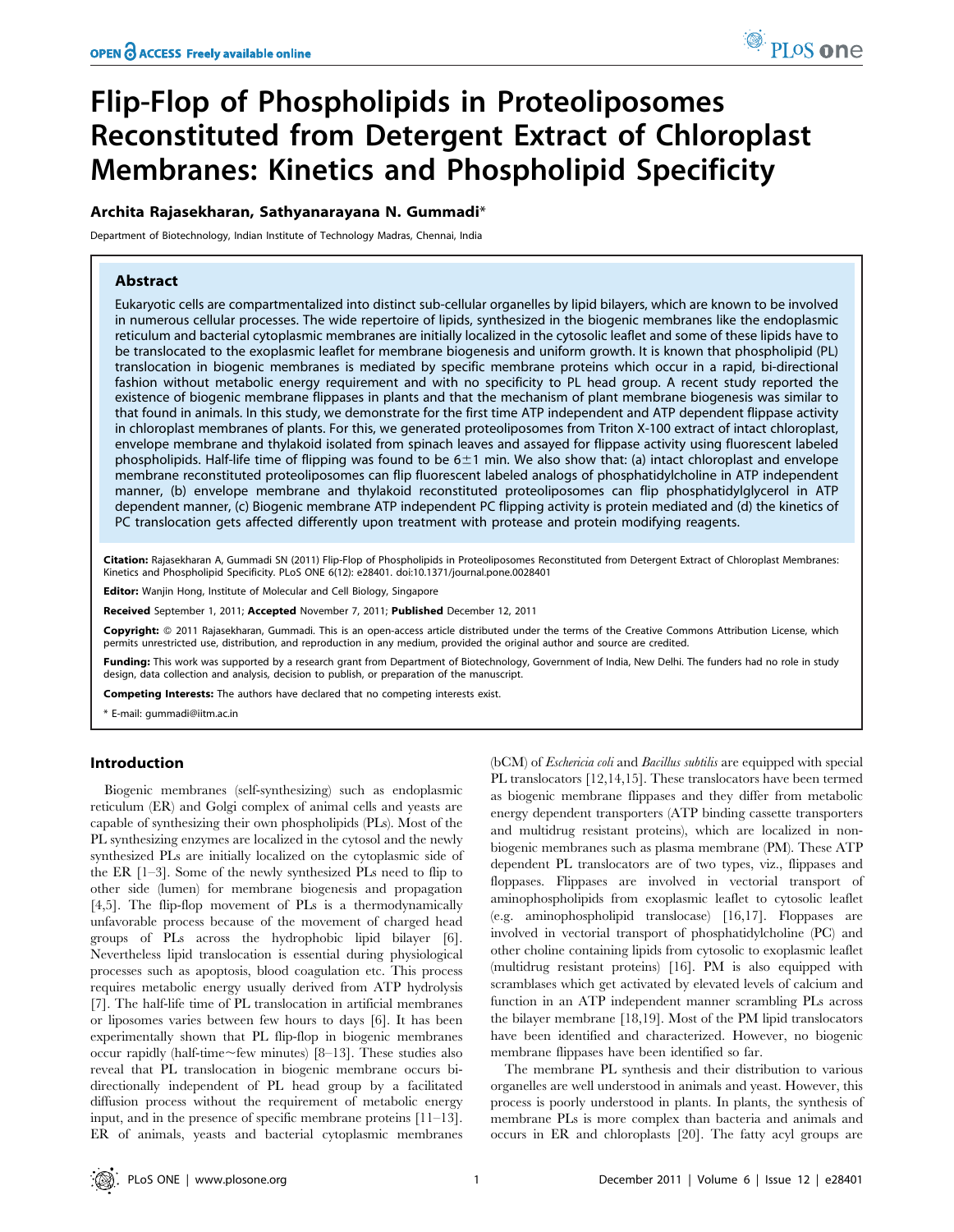# Flip-Flop of Phospholipids in Proteoliposomes Reconstituted from Detergent Extract of Chloroplast Membranes: Kinetics and Phospholipid Specificity

# Archita Rajasekharan, Sathyanarayana N. Gummadi\*

Department of Biotechnology, Indian Institute of Technology Madras, Chennai, India

# Abstract

Eukaryotic cells are compartmentalized into distinct sub-cellular organelles by lipid bilayers, which are known to be involved in numerous cellular processes. The wide repertoire of lipids, synthesized in the biogenic membranes like the endoplasmic reticulum and bacterial cytoplasmic membranes are initially localized in the cytosolic leaflet and some of these lipids have to be translocated to the exoplasmic leaflet for membrane biogenesis and uniform growth. It is known that phospholipid (PL) translocation in biogenic membranes is mediated by specific membrane proteins which occur in a rapid, bi-directional fashion without metabolic energy requirement and with no specificity to PL head group. A recent study reported the existence of biogenic membrane flippases in plants and that the mechanism of plant membrane biogenesis was similar to that found in animals. In this study, we demonstrate for the first time ATP independent and ATP dependent flippase activity in chloroplast membranes of plants. For this, we generated proteoliposomes from Triton X-100 extract of intact chloroplast, envelope membrane and thylakoid isolated from spinach leaves and assayed for flippase activity using fluorescent labeled phospholipids. Half-life time of flipping was found to be  $6\pm1$  min. We also show that: (a) intact chloroplast and envelope membrane reconstituted proteoliposomes can flip fluorescent labeled analogs of phosphatidylcholine in ATP independent manner, (b) envelope membrane and thylakoid reconstituted proteoliposomes can flip phosphatidylglycerol in ATP dependent manner, (c) Biogenic membrane ATP independent PC flipping activity is protein mediated and (d) the kinetics of PC translocation gets affected differently upon treatment with protease and protein modifying reagents.

Citation: Rajasekharan A, Gummadi SN (2011) Flip-Flop of Phospholipids in Proteoliposomes Reconstituted from Detergent Extract of Chloroplast Membranes: Kinetics and Phospholipid Specificity. PLoS ONE 6(12): e28401. doi:10.1371/journal.pone.0028401

Editor: Wanjin Hong, Institute of Molecular and Cell Biology, Singapore

Received September 1, 2011; Accepted November 7, 2011; Published December 12, 2011

Copyright: © 2011 Rajasekharan, Gummadi. This is an open-access article distributed under the terms of the Creative Commons Attribution License, which permits unrestricted use, distribution, and reproduction in any medium, provided the original author and source are credited.

Funding: This work was supported by a research grant from Department of Biotechnology, Government of India, New Delhi. The funders had no role in study design, data collection and analysis, decision to publish, or preparation of the manuscript.

Competing Interests: The authors have declared that no competing interests exist.

\* E-mail: gummadi@iitm.ac.in

## Introduction

Biogenic membranes (self-synthesizing) such as endoplasmic reticulum (ER) and Golgi complex of animal cells and yeasts are capable of synthesizing their own phospholipids (PLs). Most of the PL synthesizing enzymes are localized in the cytosol and the newly synthesized PLs are initially localized on the cytoplasmic side of the ER [1–3]. Some of the newly synthesized PLs need to flip to other side (lumen) for membrane biogenesis and propagation [4,5]. The flip-flop movement of PLs is a thermodynamically unfavorable process because of the movement of charged head groups of PLs across the hydrophobic lipid bilayer [6]. Nevertheless lipid translocation is essential during physiological processes such as apoptosis, blood coagulation etc. This process requires metabolic energy usually derived from ATP hydrolysis [7]. The half-life time of PL translocation in artificial membranes or liposomes varies between few hours to days [6]. It has been experimentally shown that PL flip-flop in biogenic membranes occur rapidly (half-time $\sim$ few minutes) [8–13]. These studies also reveal that PL translocation in biogenic membrane occurs bidirectionally independent of PL head group by a facilitated diffusion process without the requirement of metabolic energy input, and in the presence of specific membrane proteins [11–13]. ER of animals, yeasts and bacterial cytoplasmic membranes

(bCM) of Eschericia coli and Bacillus subtilis are equipped with special PL translocators [12,14,15]. These translocators have been termed as biogenic membrane flippases and they differ from metabolic energy dependent transporters (ATP binding cassette transporters and multidrug resistant proteins), which are localized in nonbiogenic membranes such as plasma membrane (PM). These ATP dependent PL translocators are of two types, viz., flippases and floppases. Flippases are involved in vectorial transport of aminophospholipids from exoplasmic leaflet to cytosolic leaflet (e.g. aminophospholipid translocase) [16,17]. Floppases are involved in vectorial transport of phosphatidylcholine (PC) and other choline containing lipids from cytosolic to exoplasmic leaflet (multidrug resistant proteins) [16]. PM is also equipped with scramblases which get activated by elevated levels of calcium and function in an ATP independent manner scrambling PLs across the bilayer membrane [18,19]. Most of the PM lipid translocators have been identified and characterized. However, no biogenic membrane flippases have been identified so far.

The membrane PL synthesis and their distribution to various organelles are well understood in animals and yeast. However, this process is poorly understood in plants. In plants, the synthesis of membrane PLs is more complex than bacteria and animals and occurs in ER and chloroplasts [20]. The fatty acyl groups are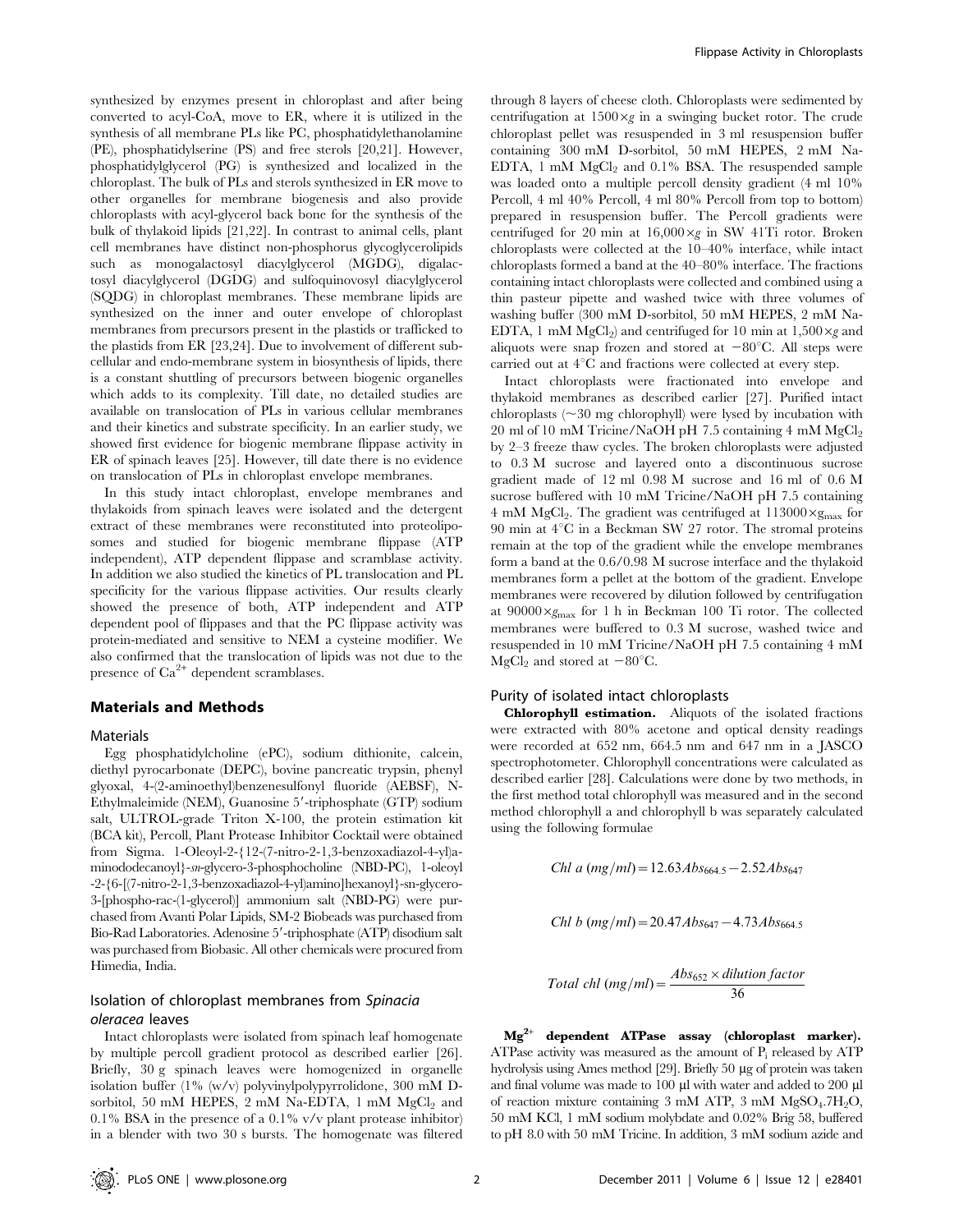synthesized by enzymes present in chloroplast and after being converted to acyl-CoA, move to ER, where it is utilized in the synthesis of all membrane PLs like PC, phosphatidylethanolamine (PE), phosphatidylserine (PS) and free sterols [20,21]. However, phosphatidylglycerol (PG) is synthesized and localized in the chloroplast. The bulk of PLs and sterols synthesized in ER move to other organelles for membrane biogenesis and also provide chloroplasts with acyl-glycerol back bone for the synthesis of the bulk of thylakoid lipids [21,22]. In contrast to animal cells, plant cell membranes have distinct non-phosphorus glycoglycerolipids such as monogalactosyl diacylglycerol (MGDG), digalactosyl diacylglycerol (DGDG) and sulfoquinovosyl diacylglycerol (SQDG) in chloroplast membranes. These membrane lipids are synthesized on the inner and outer envelope of chloroplast membranes from precursors present in the plastids or trafficked to the plastids from ER [23,24]. Due to involvement of different subcellular and endo-membrane system in biosynthesis of lipids, there is a constant shuttling of precursors between biogenic organelles which adds to its complexity. Till date, no detailed studies are available on translocation of PLs in various cellular membranes and their kinetics and substrate specificity. In an earlier study, we showed first evidence for biogenic membrane flippase activity in ER of spinach leaves [25]. However, till date there is no evidence on translocation of PLs in chloroplast envelope membranes.

In this study intact chloroplast, envelope membranes and thylakoids from spinach leaves were isolated and the detergent extract of these membranes were reconstituted into proteoliposomes and studied for biogenic membrane flippase (ATP independent), ATP dependent flippase and scramblase activity. In addition we also studied the kinetics of PL translocation and PL specificity for the various flippase activities. Our results clearly showed the presence of both, ATP independent and ATP dependent pool of flippases and that the PC flippase activity was protein-mediated and sensitive to NEM a cysteine modifier. We also confirmed that the translocation of lipids was not due to the presence of  $Ca^{2+}$  dependent scramblases.

## Materials and Methods

## Materials

Egg phosphatidylcholine (ePC), sodium dithionite, calcein, diethyl pyrocarbonate (DEPC), bovine pancreatic trypsin, phenyl glyoxal, 4-(2-aminoethyl)benzenesulfonyl fluoride (AEBSF), N-Ethylmaleimide (NEM), Guanosine 5'-triphosphate (GTP) sodium salt, ULTROL-grade Triton X-100, the protein estimation kit (BCA kit), Percoll, Plant Protease Inhibitor Cocktail were obtained from Sigma. 1-Oleoyl-2-{12-(7-nitro-2-1,3-benzoxadiazol-4-yl)aminododecanoyl}-sn-glycero-3-phosphocholine (NBD-PC), 1-oleoyl -2-{6-[(7-nitro-2-1,3-benzoxadiazol-4-yl)amino]hexanoyl}-sn-glycero-3-[phospho-rac-(1-glycerol)] ammonium salt (NBD-PG) were purchased from Avanti Polar Lipids, SM-2 Biobeads was purchased from Bio-Rad Laboratories. Adenosine 5'-triphosphate (ATP) disodium salt was purchased from Biobasic. All other chemicals were procured from Himedia, India.

# Isolation of chloroplast membranes from Spinacia oleracea leaves

Intact chloroplasts were isolated from spinach leaf homogenate by multiple percoll gradient protocol as described earlier [26]. Briefly, 30 g spinach leaves were homogenized in organelle isolation buffer (1% (w/v) polyvinylpolypyrrolidone, 300 mM Dsorbitol, 50 mM HEPES, 2 mM Na-EDTA, 1 mM  $MgCl<sub>2</sub>$  and 0.1% BSA in the presence of a 0.1% v/v plant protease inhibitor) in a blender with two 30 s bursts. The homogenate was filtered

through 8 layers of cheese cloth. Chloroplasts were sedimented by centrifugation at  $1500 \times g$  in a swinging bucket rotor. The crude chloroplast pellet was resuspended in 3 ml resuspension buffer containing 300 mM D-sorbitol, 50 mM HEPES, 2 mM Na-EDTA, 1 mM  $MgCl<sub>2</sub>$  and 0.1% BSA. The resuspended sample was loaded onto a multiple percoll density gradient (4 ml 10% Percoll, 4 ml 40% Percoll, 4 ml 80% Percoll from top to bottom) prepared in resuspension buffer. The Percoll gradients were centrifuged for 20 min at  $16,000 \times g$  in SW 41Ti rotor. Broken chloroplasts were collected at the 10–40% interface, while intact chloroplasts formed a band at the 40–80% interface. The fractions containing intact chloroplasts were collected and combined using a thin pasteur pipette and washed twice with three volumes of washing buffer (300 mM D-sorbitol, 50 mM HEPES, 2 mM Na-EDTA, 1 mM MgCl<sub>2</sub>) and centrifuged for 10 min at  $1,500 \times g$  and aliquots were snap frozen and stored at  $-80^{\circ}$ C. All steps were carried out at  $4^{\circ}$ C and fractions were collected at every step.

Intact chloroplasts were fractionated into envelope and thylakoid membranes as described earlier [27]. Purified intact chloroplasts  $(\sim 30 \text{ mg chlorophyll})$  were lysed by incubation with  $20 \text{ ml of } 10 \text{ mM Tricine/NaOH pH } 7.5 \text{ containing } 4 \text{ mM MgCl}_2$ by 2–3 freeze thaw cycles. The broken chloroplasts were adjusted to 0.3 M sucrose and layered onto a discontinuous sucrose gradient made of 12 ml 0.98 M sucrose and 16 ml of 0.6 M sucrose buffered with 10 mM Tricine/NaOH pH 7.5 containing 4 mM MgCl<sub>2</sub>. The gradient was centrifuged at  $113000 \times g_{\text{max}}$  for 90 min at  $4^{\circ}$ C in a Beckman SW 27 rotor. The stromal proteins remain at the top of the gradient while the envelope membranes form a band at the 0.6/0.98 M sucrose interface and the thylakoid membranes form a pellet at the bottom of the gradient. Envelope membranes were recovered by dilution followed by centrifugation at  $90000 \times g_{\text{max}}$  for 1 h in Beckman 100 Ti rotor. The collected membranes were buffered to 0.3 M sucrose, washed twice and resuspended in 10 mM Tricine/NaOH pH 7.5 containing 4 mM MgCl<sub>2</sub> and stored at  $-80^{\circ}$ C.

# Purity of isolated intact chloroplasts

Chlorophyll estimation. Aliquots of the isolated fractions were extracted with 80% acetone and optical density readings were recorded at 652 nm, 664.5 nm and 647 nm in a JASCO spectrophotometer. Chlorophyll concentrations were calculated as described earlier [28]. Calculations were done by two methods, in the first method total chlorophyll was measured and in the second method chlorophyll a and chlorophyll b was separately calculated using the following formulae

Chl a 
$$
(mg/ml) = 12.63Abs_{664.5} - 2.52Abs_{647}
$$

Chl b 
$$
(mg/ml) = 20.47Abs_{647} - 4.73Abs_{664.5}
$$

Total chl (mg/ml) = 
$$
\frac{Abs_{652} \times dilution factor}{36}
$$

 $Mg^{2+}$  dependent ATPase assay (chloroplast marker). ATPase activity was measured as the amount of  $P_i$  released by ATP hydrolysis using Ames method [29]. Briefly 50 µg of protein was taken and final volume was made to 100 µl with water and added to 200 µl of reaction mixture containing 3 mM ATP, 3 mM MgSO<sub>4</sub>.7H<sub>2</sub>O, 50 mM KCl, 1 mM sodium molybdate and 0.02% Brig 58, buffered to pH 8.0 with 50 mM Tricine. In addition, 3 mM sodium azide and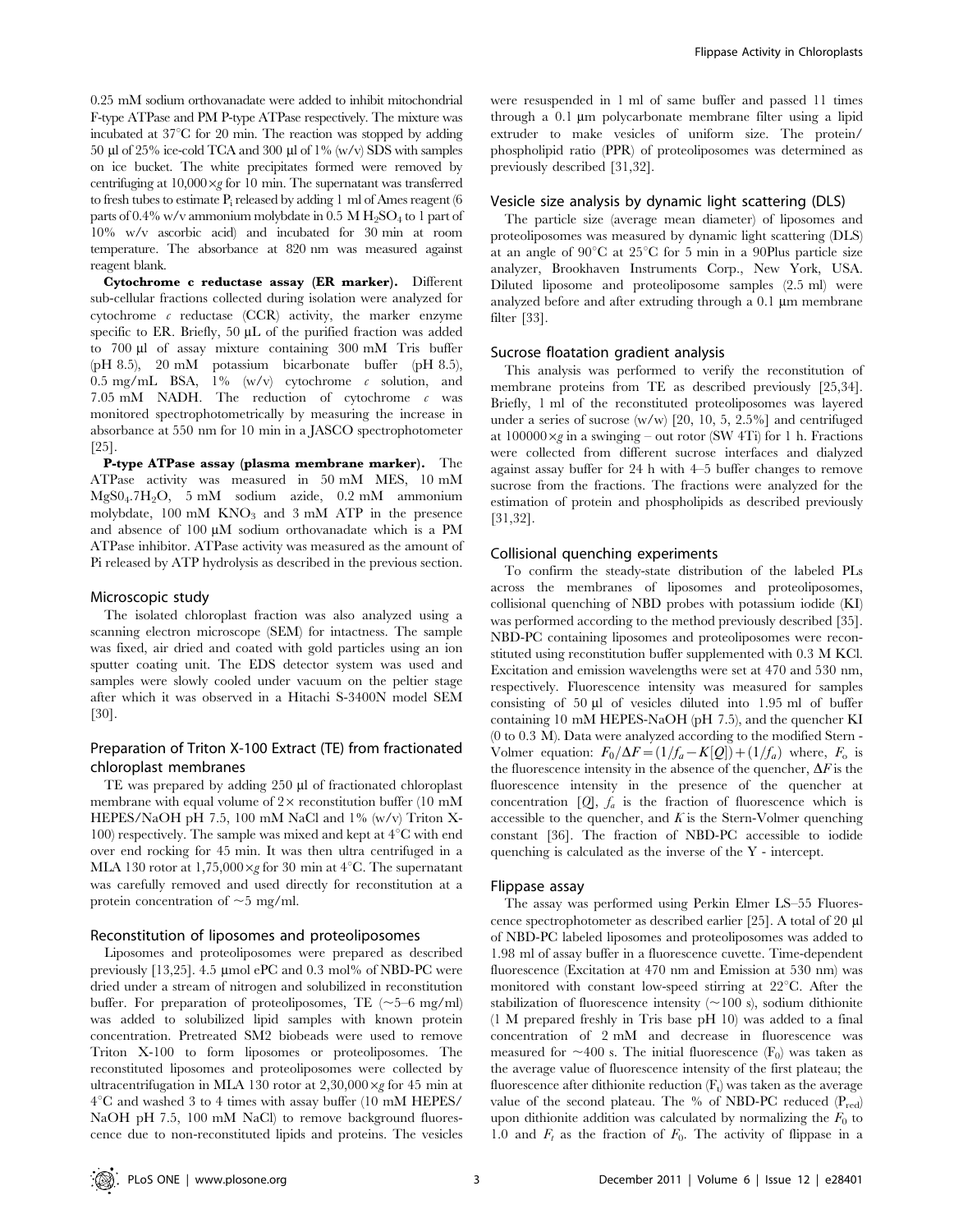0.25 mM sodium orthovanadate were added to inhibit mitochondrial F-type ATPase and PM P-type ATPase respectively. The mixture was incubated at  $37^{\circ}$ C for 20 min. The reaction was stopped by adding 50  $\mu$ l of 25% ice-cold TCA and 300  $\mu$ l of 1% (w/v) SDS with samples on ice bucket. The white precipitates formed were removed by centrifuging at  $10,000 \times g$  for 10 min. The supernatant was transferred to fresh tubes to estimate  $P_i$  released by adding 1 ml of Ames reagent (6 parts of  $0.4\%$  w/v ammonium molybdate in  $0.5$  M  $H_2SO_4$  to 1 part of 10% w/v ascorbic acid) and incubated for 30 min at room temperature. The absorbance at 820 nm was measured against reagent blank.

Cytochrome c reductase assay (ER marker). Different sub-cellular fractions collected during isolation were analyzed for cytochrome  $c$  reductase (CCR) activity, the marker enzyme specific to ER. Briefly,  $50 \mu L$  of the purified fraction was added to 700 ml of assay mixture containing 300 mM Tris buffer (pH 8.5), 20 mM potassium bicarbonate buffer (pH 8.5), 0.5 mg/mL BSA,  $1\%$  (w/v) cytochrome c solution, and 7.05 mM NADH. The reduction of cytochrome c was monitored spectrophotometrically by measuring the increase in absorbance at 550 nm for 10 min in a JASCO spectrophotometer [25].

P-type ATPase assay (plasma membrane marker). The ATPase activity was measured in 50 mM MES, 10 mM MgS04.7H2O, 5 mM sodium azide, 0.2 mM ammonium molybdate,  $100 \text{ mM}$  KNO<sub>3</sub> and  $3 \text{ mM}$  ATP in the presence and absence of  $100 \mu M$  sodium orthovanadate which is a PM ATPase inhibitor. ATPase activity was measured as the amount of Pi released by ATP hydrolysis as described in the previous section.

#### Microscopic study

The isolated chloroplast fraction was also analyzed using a scanning electron microscope (SEM) for intactness. The sample was fixed, air dried and coated with gold particles using an ion sputter coating unit. The EDS detector system was used and samples were slowly cooled under vacuum on the peltier stage after which it was observed in a Hitachi S-3400N model SEM [30].

# Preparation of Triton X-100 Extract (TE) from fractionated chloroplast membranes

TE was prepared by adding 250 µl of fractionated chloroplast membrane with equal volume of  $2 \times$  reconstitution buffer (10 mM HEPES/NaOH pH 7.5, 100 mM NaCl and 1% (w/v) Triton X-100) respectively. The sample was mixed and kept at  $4^{\circ}$ C with end over end rocking for 45 min. It was then ultra centrifuged in a MLA 130 rotor at 1,75,000 $\times g$  for 30 min at 4<sup>o</sup>C. The supernatant was carefully removed and used directly for reconstitution at a protein concentration of  $\sim$  5 mg/ml.

# Reconstitution of liposomes and proteoliposomes

Liposomes and proteoliposomes were prepared as described previously [13,25]. 4.5 µmol ePC and 0.3 mol% of NBD-PC were dried under a stream of nitrogen and solubilized in reconstitution buffer. For preparation of proteoliposomes, TE  $(\sim 5-6$  mg/ml) was added to solubilized lipid samples with known protein concentration. Pretreated SM2 biobeads were used to remove Triton X-100 to form liposomes or proteoliposomes. The reconstituted liposomes and proteoliposomes were collected by ultracentrifugation in MLA 130 rotor at  $2,30,000 \times g$  for 45 min at  $4^{\circ}$ C and washed 3 to 4 times with assay buffer (10 mM HEPES/ NaOH pH 7.5, 100 mM NaCl) to remove background fluorescence due to non-reconstituted lipids and proteins. The vesicles were resuspended in 1 ml of same buffer and passed 11 times through a 0.1 µm polycarbonate membrane filter using a lipid extruder to make vesicles of uniform size. The protein/ phospholipid ratio (PPR) of proteoliposomes was determined as previously described [31,32].

## Vesicle size analysis by dynamic light scattering (DLS)

The particle size (average mean diameter) of liposomes and proteoliposomes was measured by dynamic light scattering (DLS) at an angle of  $90^{\circ}$ C at  $25^{\circ}$ C for 5 min in a 90Plus particle size analyzer, Brookhaven Instruments Corp., New York, USA. Diluted liposome and proteoliposome samples (2.5 ml) were analyzed before and after extruding through a  $0.1 \mu m$  membrane filter [33].

#### Sucrose floatation gradient analysis

This analysis was performed to verify the reconstitution of membrane proteins from TE as described previously [25,34]. Briefly, 1 ml of the reconstituted proteoliposomes was layered under a series of sucrose  $(w/w)$  [20, 10, 5, 2.5%] and centrifuged at  $100000 \times g$  in a swinging – out rotor (SW 4Ti) for 1 h. Fractions were collected from different sucrose interfaces and dialyzed against assay buffer for 24 h with 4–5 buffer changes to remove sucrose from the fractions. The fractions were analyzed for the estimation of protein and phospholipids as described previously [31,32].

#### Collisional quenching experiments

To confirm the steady-state distribution of the labeled PLs across the membranes of liposomes and proteoliposomes, collisional quenching of NBD probes with potassium iodide (KI) was performed according to the method previously described [35]. NBD-PC containing liposomes and proteoliposomes were reconstituted using reconstitution buffer supplemented with 0.3 M KCl. Excitation and emission wavelengths were set at 470 and 530 nm, respectively. Fluorescence intensity was measured for samples consisting of  $50 \mu l$  of vesicles diluted into 1.95 ml of buffer containing 10 mM HEPES-NaOH (pH 7.5), and the quencher KI (0 to 0.3 M). Data were analyzed according to the modified Stern - Volmer equation:  $F_0/\Delta F = (1/f_a - K[Q]) + (1/f_a)$  where,  $F_o$  is the fluorescence intensity in the absence of the quencher,  $\Delta F$  is the fluorescence intensity in the presence of the quencher at concentration  $[Q]$ ,  $f_a$  is the fraction of fluorescence which is accessible to the quencher, and  $K$  is the Stern-Volmer quenching constant [36]. The fraction of NBD-PC accessible to iodide quenching is calculated as the inverse of the Y - intercept.

#### Flippase assay

The assay was performed using Perkin Elmer LS–55 Fluorescence spectrophotometer as described earlier [25]. A total of 20 ml of NBD-PC labeled liposomes and proteoliposomes was added to 1.98 ml of assay buffer in a fluorescence cuvette. Time-dependent fluorescence (Excitation at 470 nm and Emission at 530 nm) was monitored with constant low-speed stirring at  $22^{\circ}$ C. After the stabilization of fluorescence intensity  $(\sim 100 \text{ s})$ , sodium dithionite (1 M prepared freshly in Tris base pH 10) was added to a final concentration of 2 mM and decrease in fluorescence was measured for  $\sim$ 400 s. The initial fluorescence (F<sub>0</sub>) was taken as the average value of fluorescence intensity of the first plateau; the fluorescence after dithionite reduction  $(F_t)$  was taken as the average value of the second plateau. The % of NBD-PC reduced  $(P_{red})$ upon dithionite addition was calculated by normalizing the  $F_0$  to 1.0 and  $F_t$  as the fraction of  $F_0$ . The activity of flippase in a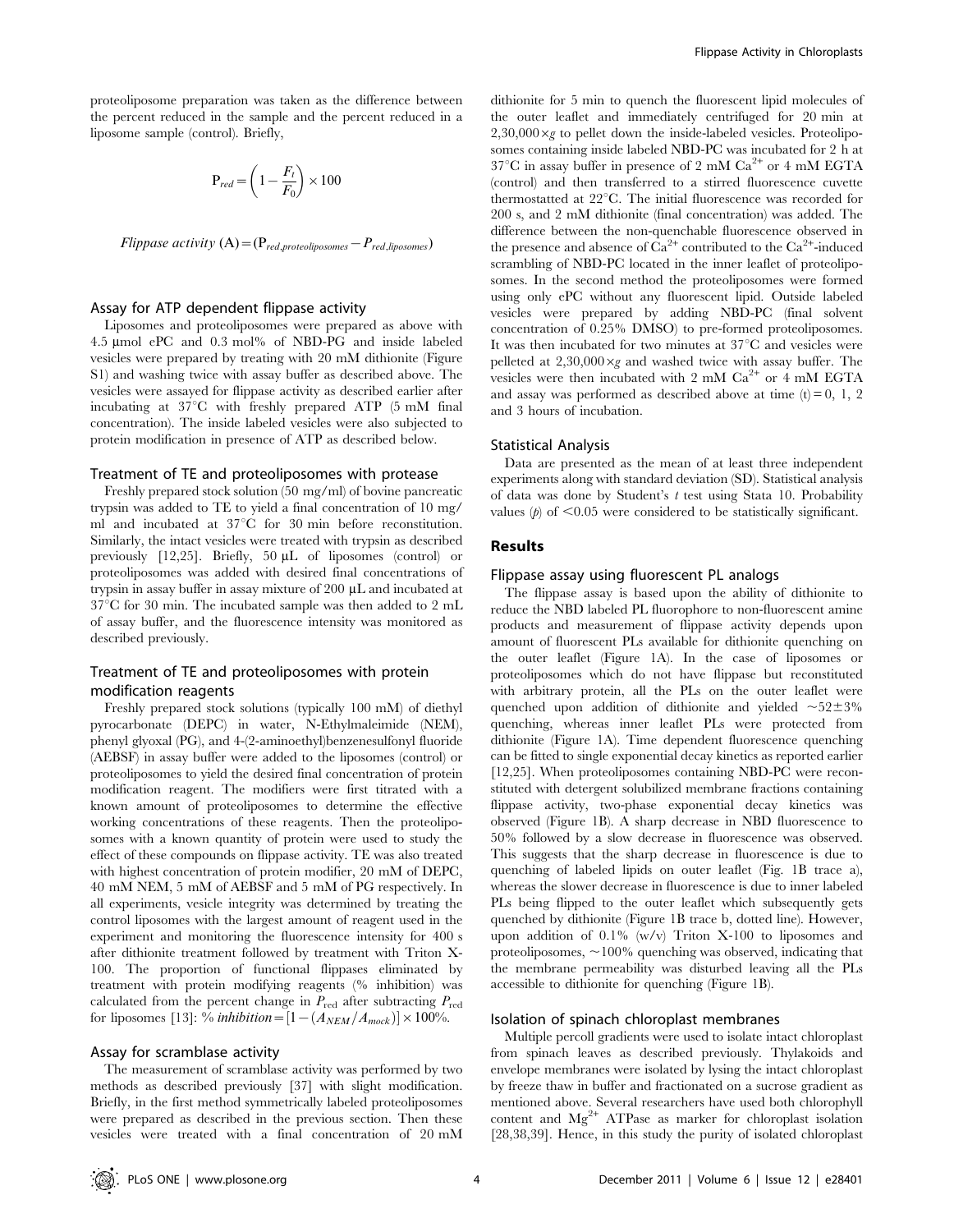proteoliposome preparation was taken as the difference between the percent reduced in the sample and the percent reduced in a liposome sample (control). Briefly,

$$
\mathbf{P}_{red} = \left(1 - \frac{F_t}{F_0}\right) \times 100
$$

Flippase activity  $(A) = (P_{red, proteoliposomes} - P_{red, liposomes})$ 

#### Assay for ATP dependent flippase activity

Liposomes and proteoliposomes were prepared as above with 4.5 mmol ePC and 0.3 mol% of NBD-PG and inside labeled vesicles were prepared by treating with 20 mM dithionite (Figure S1) and washing twice with assay buffer as described above. The vesicles were assayed for flippase activity as described earlier after incubating at  $37^{\circ}$ C with freshly prepared ATP (5 mM final concentration). The inside labeled vesicles were also subjected to protein modification in presence of ATP as described below.

## Treatment of TE and proteoliposomes with protease

Freshly prepared stock solution (50 mg/ml) of bovine pancreatic trypsin was added to TE to yield a final concentration of 10 mg/ ml and incubated at  $37^{\circ}$ C for 30 min before reconstitution. Similarly, the intact vesicles were treated with trypsin as described previously [12,25]. Briefly,  $50 \mu L$  of liposomes (control) or proteoliposomes was added with desired final concentrations of trypsin in assay buffer in assay mixture of 200  $\mu$ L and incubated at  $37^{\circ}$ C for 30 min. The incubated sample was then added to 2 mL of assay buffer, and the fluorescence intensity was monitored as described previously.

# Treatment of TE and proteoliposomes with protein modification reagents

Freshly prepared stock solutions (typically 100 mM) of diethyl pyrocarbonate (DEPC) in water, N-Ethylmaleimide (NEM), phenyl glyoxal (PG), and 4-(2-aminoethyl)benzenesulfonyl fluoride (AEBSF) in assay buffer were added to the liposomes (control) or proteoliposomes to yield the desired final concentration of protein modification reagent. The modifiers were first titrated with a known amount of proteoliposomes to determine the effective working concentrations of these reagents. Then the proteoliposomes with a known quantity of protein were used to study the effect of these compounds on flippase activity. TE was also treated with highest concentration of protein modifier, 20 mM of DEPC, 40 mM NEM, 5 mM of AEBSF and 5 mM of PG respectively. In all experiments, vesicle integrity was determined by treating the control liposomes with the largest amount of reagent used in the experiment and monitoring the fluorescence intensity for 400 s after dithionite treatment followed by treatment with Triton X-100. The proportion of functional flippases eliminated by treatment with protein modifying reagents (% inhibition) was calculated from the percent change in  $P_{\text{red}}$  after subtracting  $P_{\text{red}}$ for liposomes [13]:  $\%$  inhibition = [1 - ( $A_{NEM}/A_{mock}$ )] × 100%.

# Assay for scramblase activity

The measurement of scramblase activity was performed by two methods as described previously [37] with slight modification. Briefly, in the first method symmetrically labeled proteoliposomes were prepared as described in the previous section. Then these vesicles were treated with a final concentration of 20 mM

dithionite for 5 min to quench the fluorescent lipid molecules of the outer leaflet and immediately centrifuged for 20 min at  $2,30,000 \times g$  to pellet down the inside-labeled vesicles. Proteoliposomes containing inside labeled NBD-PC was incubated for 2 h at  $37^{\circ}$ C in assay buffer in presence of 2 mM Ca<sup>2+</sup> or 4 mM EGTA (control) and then transferred to a stirred fluorescence cuvette thermostatted at 22°C. The initial fluorescence was recorded for 200 s, and 2 mM dithionite (final concentration) was added. The difference between the non-quenchable fluorescence observed in the presence and absence of  $\tilde{Ca}^{2+}$  contributed to the  $Ca^{2+}$ -induced scrambling of NBD-PC located in the inner leaflet of proteoliposomes. In the second method the proteoliposomes were formed using only ePC without any fluorescent lipid. Outside labeled vesicles were prepared by adding NBD-PC (final solvent concentration of 0.25% DMSO) to pre-formed proteoliposomes. It was then incubated for two minutes at  $37^{\circ}$ C and vesicles were pelleted at  $2.30,000 \times g$  and washed twice with assay buffer. The vesicles were then incubated with  $2 \text{ mM } Ca^{2+}$  or  $4 \text{ mM } EGTA$ and assay was performed as described above at time  $(t) = 0, 1, 2$ and 3 hours of incubation.

#### Statistical Analysis

Data are presented as the mean of at least three independent experiments along with standard deviation (SD). Statistical analysis of data was done by Student's t test using Stata 10. Probability values  $(p)$  of  $\leq 0.05$  were considered to be statistically significant.

## Results

## Flippase assay using fluorescent PL analogs

The flippase assay is based upon the ability of dithionite to reduce the NBD labeled PL fluorophore to non-fluorescent amine products and measurement of flippase activity depends upon amount of fluorescent PLs available for dithionite quenching on the outer leaflet (Figure 1A). In the case of liposomes or proteoliposomes which do not have flippase but reconstituted with arbitrary protein, all the PLs on the outer leaflet were quenched upon addition of dithionite and yielded  $\sim 52 \pm 3\%$ quenching, whereas inner leaflet PLs were protected from dithionite (Figure 1A). Time dependent fluorescence quenching can be fitted to single exponential decay kinetics as reported earlier [12,25]. When proteoliposomes containing NBD-PC were reconstituted with detergent solubilized membrane fractions containing flippase activity, two-phase exponential decay kinetics was observed (Figure 1B). A sharp decrease in NBD fluorescence to 50% followed by a slow decrease in fluorescence was observed. This suggests that the sharp decrease in fluorescence is due to quenching of labeled lipids on outer leaflet (Fig. 1B trace a), whereas the slower decrease in fluorescence is due to inner labeled PLs being flipped to the outer leaflet which subsequently gets quenched by dithionite (Figure 1B trace b, dotted line). However, upon addition of 0.1% (w/v) Triton X-100 to liposomes and proteoliposomes,  $\sim$ 100% quenching was observed, indicating that the membrane permeability was disturbed leaving all the PLs accessible to dithionite for quenching (Figure 1B).

## Isolation of spinach chloroplast membranes

Multiple percoll gradients were used to isolate intact chloroplast from spinach leaves as described previously. Thylakoids and envelope membranes were isolated by lysing the intact chloroplast by freeze thaw in buffer and fractionated on a sucrose gradient as mentioned above. Several researchers have used both chlorophyll content and  $Mg^{2+}$  ATPase as marker for chloroplast isolation [28,38,39]. Hence, in this study the purity of isolated chloroplast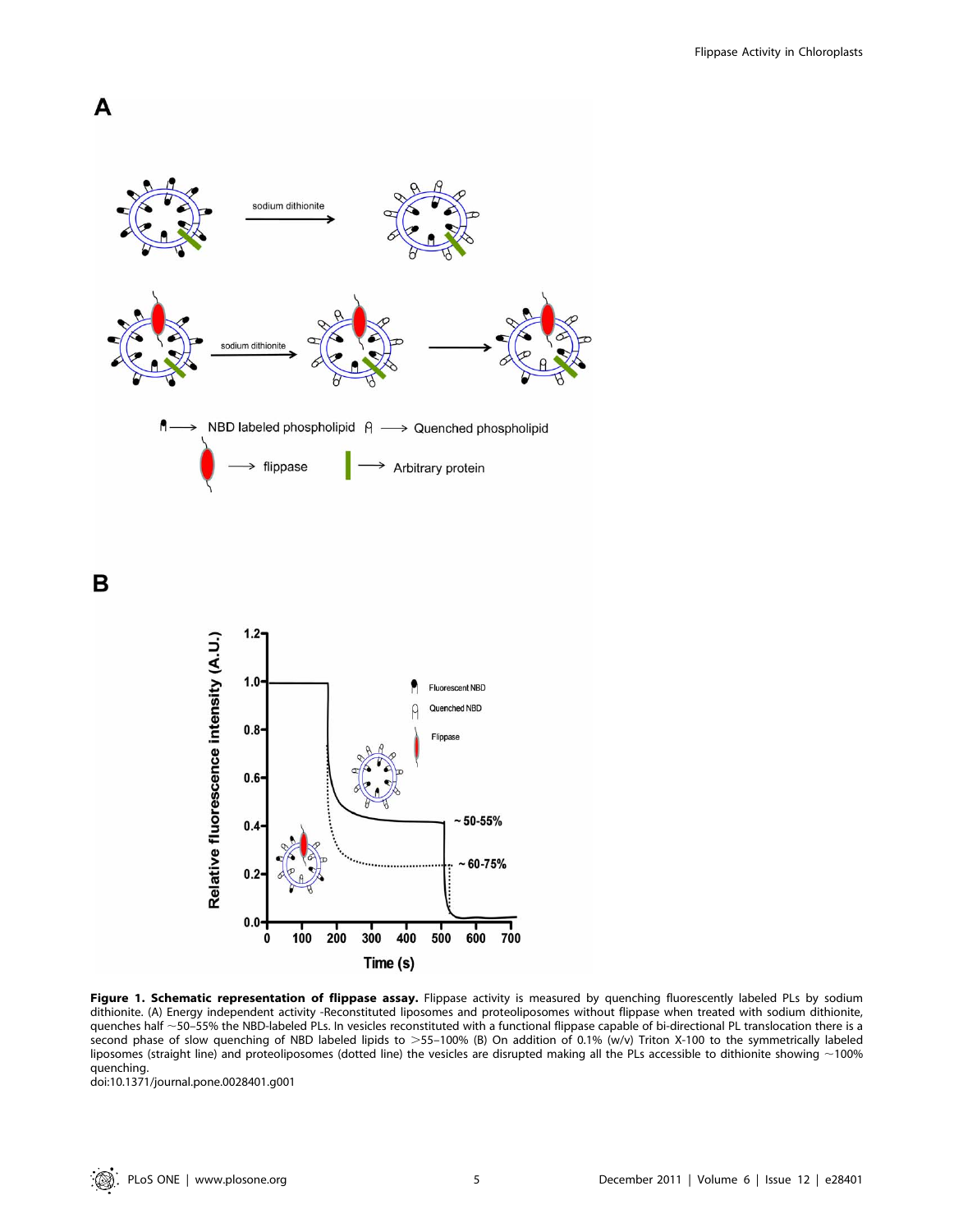

Figure 1. Schematic representation of flippase assay. Flippase activity is measured by quenching fluorescently labeled PLs by sodium dithionite. (A) Energy independent activity -Reconstituted liposomes and proteoliposomes without flippase when treated with sodium dithionite, quenches half ~50–55% the NBD-labeled PLs. In vesicles reconstituted with a functional flippase capable of bi-directional PL translocation there is a second phase of slow quenching of NBD labeled lipids to >55-100% (B) On addition of 0.1% (w/v) Triton X-100 to the symmetrically labeled liposomes (straight line) and proteoliposomes (dotted line) the vesicles are disrupted making all the PLs accessible to dithionite showing  $\sim$ 100% quenching.

doi:10.1371/journal.pone.0028401.g001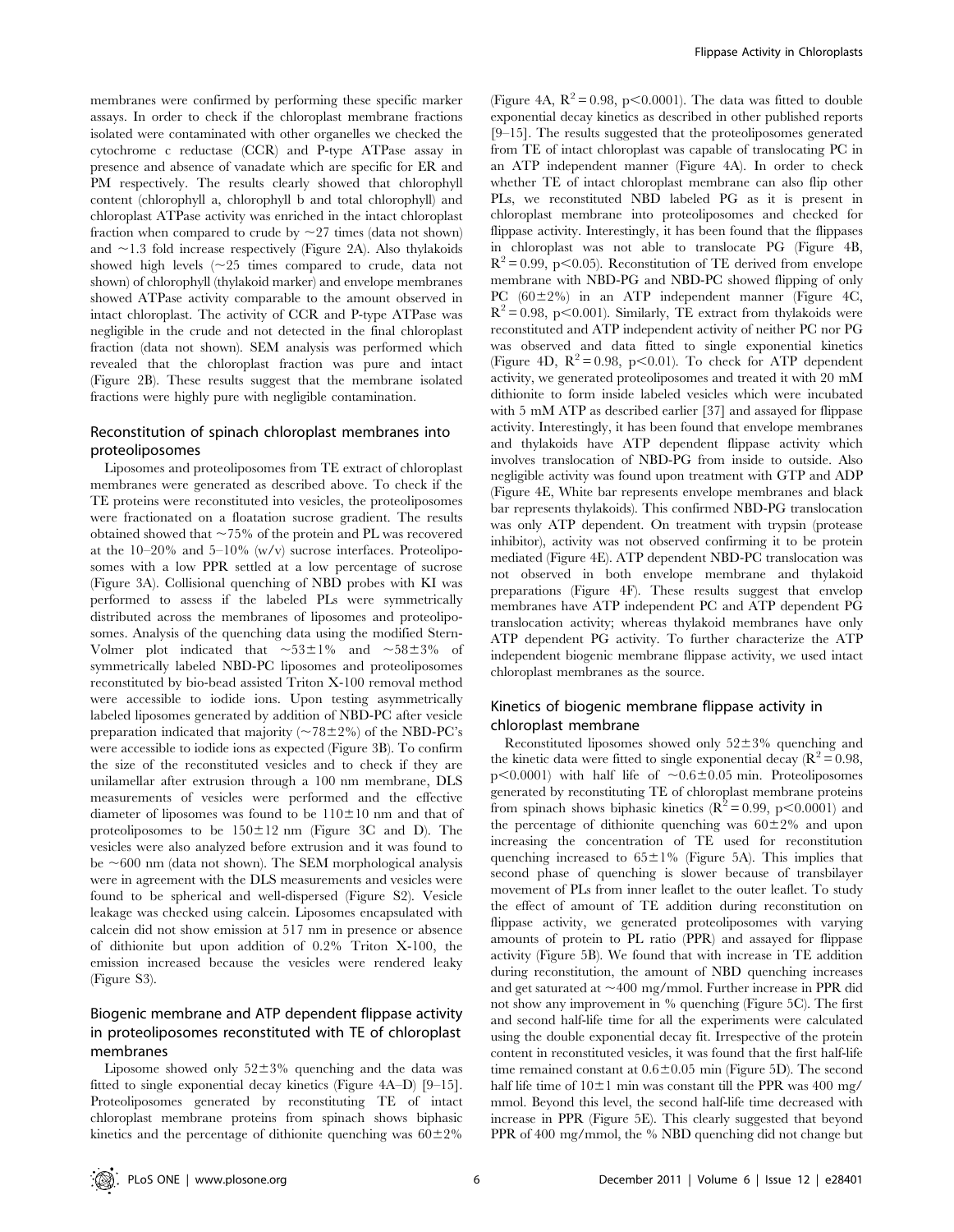membranes were confirmed by performing these specific marker assays. In order to check if the chloroplast membrane fractions isolated were contaminated with other organelles we checked the cytochrome c reductase (CCR) and P-type ATPase assay in presence and absence of vanadate which are specific for ER and PM respectively. The results clearly showed that chlorophyll content (chlorophyll a, chlorophyll b and total chlorophyll) and chloroplast ATPase activity was enriched in the intact chloroplast fraction when compared to crude by  $\sim$  27 times (data not shown) and  $\sim$ 1.3 fold increase respectively (Figure 2A). Also thylakoids showed high levels  $(\sim 25$  times compared to crude, data not shown) of chlorophyll (thylakoid marker) and envelope membranes showed ATPase activity comparable to the amount observed in intact chloroplast. The activity of CCR and P-type ATPase was negligible in the crude and not detected in the final chloroplast fraction (data not shown). SEM analysis was performed which revealed that the chloroplast fraction was pure and intact (Figure 2B). These results suggest that the membrane isolated fractions were highly pure with negligible contamination.

# Reconstitution of spinach chloroplast membranes into proteoliposomes

Liposomes and proteoliposomes from TE extract of chloroplast membranes were generated as described above. To check if the TE proteins were reconstituted into vesicles, the proteoliposomes were fractionated on a floatation sucrose gradient. The results obtained showed that  $\sim$  75% of the protein and PL was recovered at the  $10-20\%$  and  $5-10\%$  (w/v) sucrose interfaces. Proteoliposomes with a low PPR settled at a low percentage of sucrose (Figure 3A). Collisional quenching of NBD probes with KI was performed to assess if the labeled PLs were symmetrically distributed across the membranes of liposomes and proteoliposomes. Analysis of the quenching data using the modified Stern-Volmer plot indicated that  $\sim 53\pm1\%$  and  $\sim 58\pm3\%$  of symmetrically labeled NBD-PC liposomes and proteoliposomes reconstituted by bio-bead assisted Triton X-100 removal method were accessible to iodide ions. Upon testing asymmetrically labeled liposomes generated by addition of NBD-PC after vesicle preparation indicated that majority ( $\sim$ 78±2%) of the NBD-PC's were accessible to iodide ions as expected (Figure 3B). To confirm the size of the reconstituted vesicles and to check if they are unilamellar after extrusion through a 100 nm membrane, DLS measurements of vesicles were performed and the effective diameter of liposomes was found to be  $110\pm10$  nm and that of proteoliposomes to be  $150 \pm 12$  nm (Figure 3C and D). The vesicles were also analyzed before extrusion and it was found to be  $\sim$ 600 nm (data not shown). The SEM morphological analysis were in agreement with the DLS measurements and vesicles were found to be spherical and well-dispersed (Figure S2). Vesicle leakage was checked using calcein. Liposomes encapsulated with calcein did not show emission at 517 nm in presence or absence of dithionite but upon addition of 0.2% Triton X-100, the emission increased because the vesicles were rendered leaky (Figure S3).

# Biogenic membrane and ATP dependent flippase activity in proteoliposomes reconstituted with TE of chloroplast membranes

Liposome showed only  $52\pm3\%$  quenching and the data was fitted to single exponential decay kinetics (Figure 4A–D) [9–15]. Proteoliposomes generated by reconstituting TE of intact chloroplast membrane proteins from spinach shows biphasic kinetics and the percentage of dithionite quenching was  $60\pm2\%$ 

(Figure 4A,  $R^2 = 0.98$ , p $\leq 0.0001$ ). The data was fitted to double exponential decay kinetics as described in other published reports [9–15]. The results suggested that the proteoliposomes generated from TE of intact chloroplast was capable of translocating PC in an ATP independent manner (Figure 4A). In order to check whether TE of intact chloroplast membrane can also flip other PLs, we reconstituted NBD labeled PG as it is present in chloroplast membrane into proteoliposomes and checked for flippase activity. Interestingly, it has been found that the flippases in chloroplast was not able to translocate PG (Figure 4B,  $R^2$  = 0.99, p<0.05). Reconstitution of TE derived from envelope membrane with NBD-PG and NBD-PC showed flipping of only PC  $(60\pm2\%)$  in an ATP independent manner (Figure 4C,  $R^2$  = 0.98, p<0.001). Similarly, TE extract from thylakoids were reconstituted and ATP independent activity of neither PC nor PG was observed and data fitted to single exponential kinetics (Figure 4D,  $R^2 = 0.98$ , p $\leq 0.01$ ). To check for ATP dependent activity, we generated proteoliposomes and treated it with 20 mM dithionite to form inside labeled vesicles which were incubated with 5 mM ATP as described earlier [37] and assayed for flippase activity. Interestingly, it has been found that envelope membranes and thylakoids have ATP dependent flippase activity which involves translocation of NBD-PG from inside to outside. Also negligible activity was found upon treatment with GTP and ADP (Figure 4E, White bar represents envelope membranes and black bar represents thylakoids). This confirmed NBD-PG translocation was only ATP dependent. On treatment with trypsin (protease inhibitor), activity was not observed confirming it to be protein mediated (Figure 4E). ATP dependent NBD-PC translocation was not observed in both envelope membrane and thylakoid preparations (Figure 4F). These results suggest that envelop membranes have ATP independent PC and ATP dependent PG translocation activity; whereas thylakoid membranes have only ATP dependent PG activity. To further characterize the ATP independent biogenic membrane flippase activity, we used intact chloroplast membranes as the source.

# Kinetics of biogenic membrane flippase activity in chloroplast membrane

Reconstituted liposomes showed only  $52\pm3\%$  quenching and the kinetic data were fitted to single exponential decay ( $\mathbb{R}^2 = 0.98$ ,  $p<0.0001$ ) with half life of  $\sim0.6\pm0.05$  min. Proteoliposomes generated by reconstituting TE of chloroplast membrane proteins from spinach shows biphasic kinetics ( $\mathbb{R}^2 = 0.99$ , p $\lt 0.0001$ ) and the percentage of dithionite quenching was  $60\pm2\%$  and upon increasing the concentration of TE used for reconstitution quenching increased to  $65\pm1\%$  (Figure 5A). This implies that second phase of quenching is slower because of transbilayer movement of PLs from inner leaflet to the outer leaflet. To study the effect of amount of TE addition during reconstitution on flippase activity, we generated proteoliposomes with varying amounts of protein to PL ratio (PPR) and assayed for flippase activity (Figure 5B). We found that with increase in TE addition during reconstitution, the amount of NBD quenching increases and get saturated at  $\sim$ 400 mg/mmol. Further increase in PPR did not show any improvement in % quenching (Figure 5C). The first and second half-life time for all the experiments were calculated using the double exponential decay fit. Irrespective of the protein content in reconstituted vesicles, it was found that the first half-life time remained constant at  $0.6\pm0.05$  min (Figure 5D). The second half life time of  $10\pm1$  min was constant till the PPR was 400 mg/ mmol. Beyond this level, the second half-life time decreased with increase in PPR (Figure 5E). This clearly suggested that beyond PPR of 400 mg/mmol, the % NBD quenching did not change but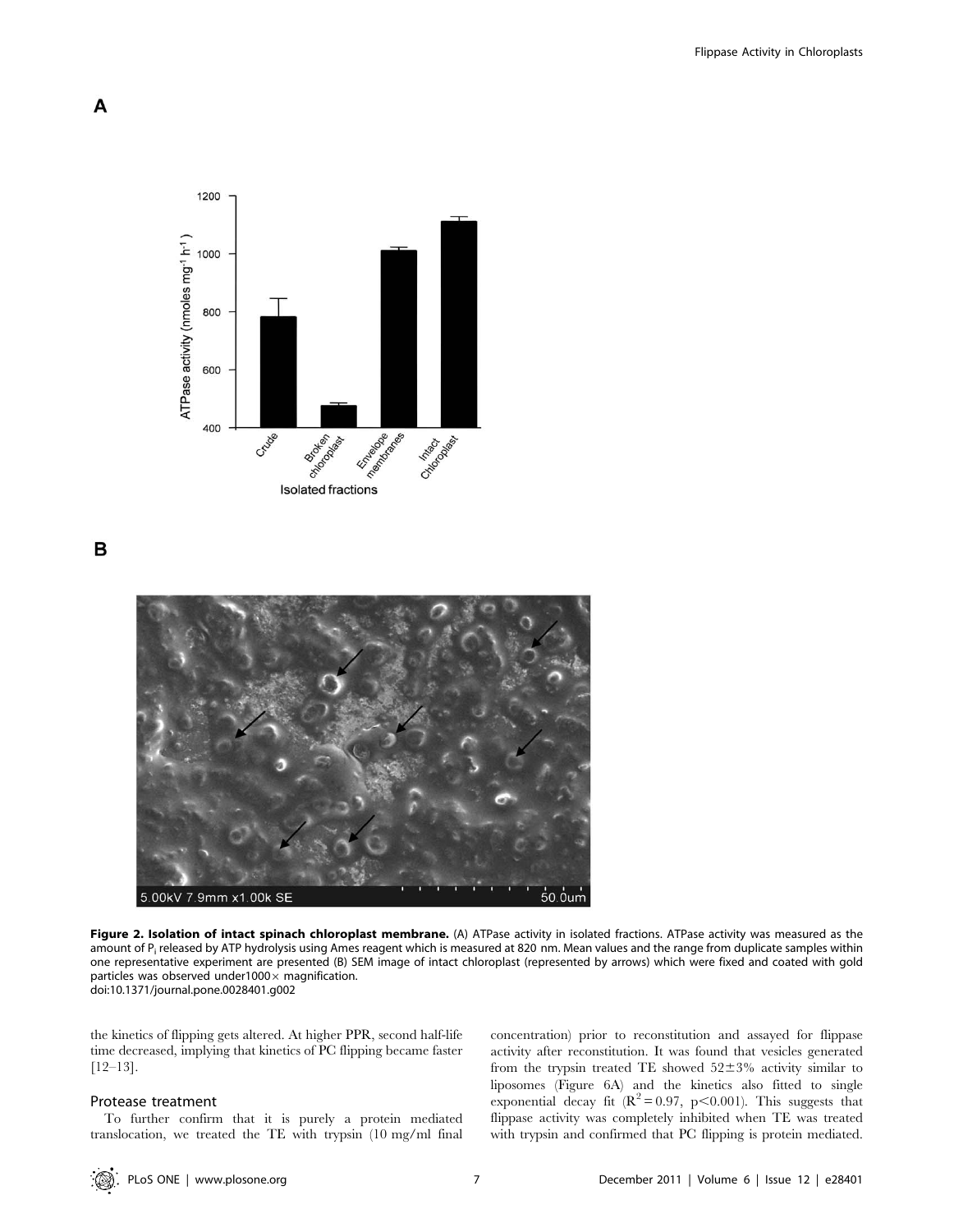

B



Figure 2. Isolation of intact spinach chloroplast membrane. (A) ATPase activity in isolated fractions. ATPase activity was measured as the amount of P<sub>i</sub> released by ATP hydrolysis using Ames reagent which is measured at 820 nm. Mean values and the range from duplicate samples within one representative experiment are presented (B) SEM image of intact chloroplast (represented by arrows) which were fixed and coated with gold particles was observed under1000 $\times$  magnification. doi:10.1371/journal.pone.0028401.g002

the kinetics of flipping gets altered. At higher PPR, second half-life time decreased, implying that kinetics of PC flipping became faster [12–13].

## Protease treatment

To further confirm that it is purely a protein mediated translocation, we treated the TE with trypsin (10 mg/ml final concentration) prior to reconstitution and assayed for flippase activity after reconstitution. It was found that vesicles generated from the trypsin treated TE showed  $52\pm3\%$  activity similar to liposomes (Figure 6A) and the kinetics also fitted to single exponential decay fit  $(R^2 = 0.97, p < 0.001)$ . This suggests that flippase activity was completely inhibited when TE was treated with trypsin and confirmed that PC flipping is protein mediated.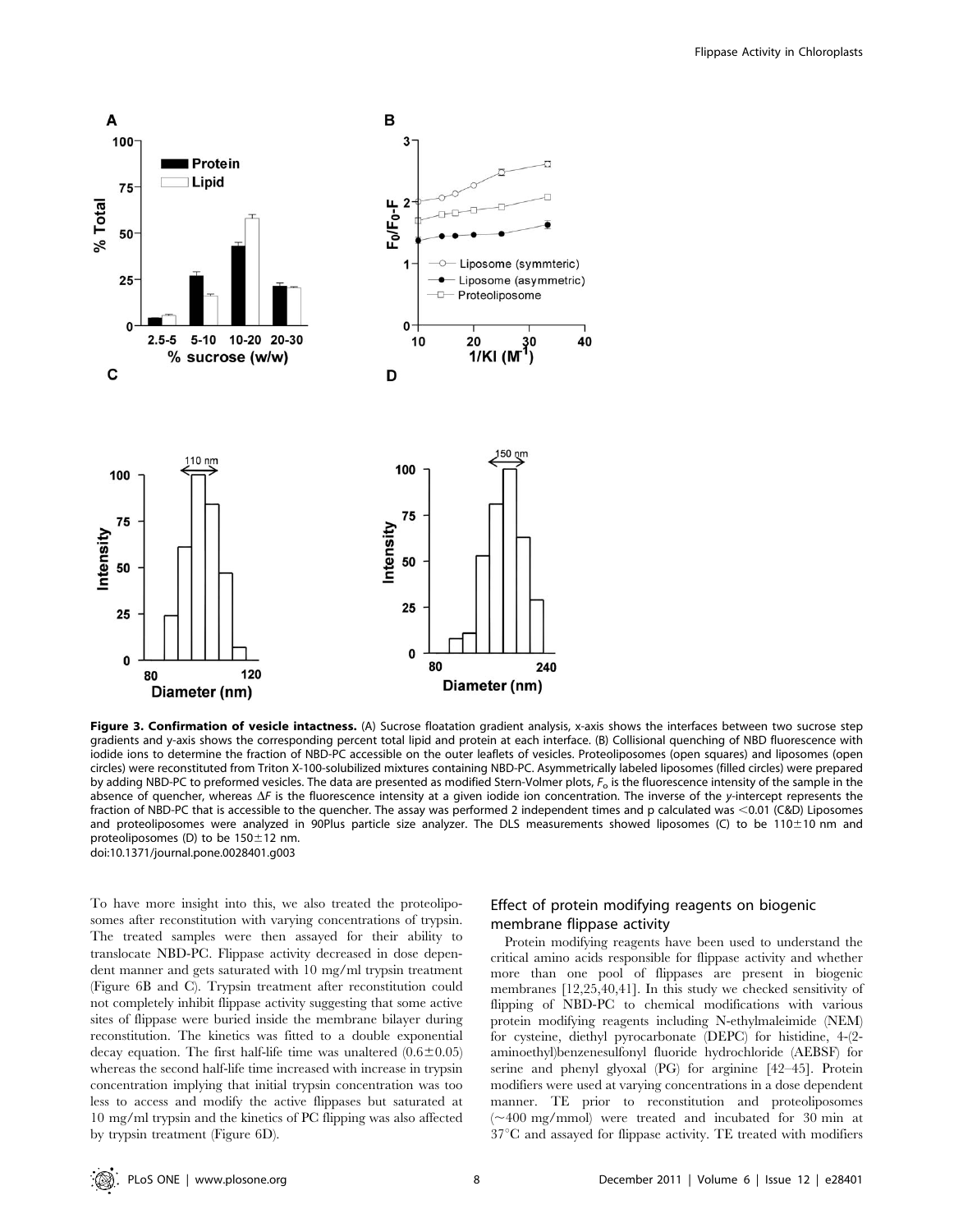

Figure 3. Confirmation of vesicle intactness. (A) Sucrose floatation gradient analysis, x-axis shows the interfaces between two sucrose step gradients and y-axis shows the corresponding percent total lipid and protein at each interface. (B) Collisional quenching of NBD fluorescence with iodide ions to determine the fraction of NBD-PC accessible on the outer leaflets of vesicles. Proteoliposomes (open squares) and liposomes (open circles) were reconstituted from Triton X-100-solubilized mixtures containing NBD-PC. Asymmetrically labeled liposomes (filled circles) were prepared by adding NBD-PC to preformed vesicles. The data are presented as modified Stern-Volmer plots,  $F_0$  is the fluorescence intensity of the sample in the absence of quencher, whereas  $\Delta F$  is the fluorescence intensity at a given iodide ion concentration. The inverse of the y-intercept represents the fraction of NBD-PC that is accessible to the quencher. The assay was performed 2 independent times and p calculated was <0.01 (C&D) Liposomes and proteoliposomes were analyzed in 90Plus particle size analyzer. The DLS measurements showed liposomes (C) to be 110±10 nm and proteoliposomes (D) to be  $150 \pm 12$  nm. doi:10.1371/journal.pone.0028401.g003

To have more insight into this, we also treated the proteoliposomes after reconstitution with varying concentrations of trypsin. The treated samples were then assayed for their ability to translocate NBD-PC. Flippase activity decreased in dose dependent manner and gets saturated with 10 mg/ml trypsin treatment (Figure 6B and C). Trypsin treatment after reconstitution could not completely inhibit flippase activity suggesting that some active sites of flippase were buried inside the membrane bilayer during reconstitution. The kinetics was fitted to a double exponential decay equation. The first half-life time was unaltered  $(0.6\pm0.05)$ whereas the second half-life time increased with increase in trypsin concentration implying that initial trypsin concentration was too less to access and modify the active flippases but saturated at 10 mg/ml trypsin and the kinetics of PC flipping was also affected by trypsin treatment (Figure 6D).

# Effect of protein modifying reagents on biogenic membrane flippase activity

Protein modifying reagents have been used to understand the critical amino acids responsible for flippase activity and whether more than one pool of flippases are present in biogenic membranes [12,25,40,41]. In this study we checked sensitivity of flipping of NBD-PC to chemical modifications with various protein modifying reagents including N-ethylmaleimide (NEM) for cysteine, diethyl pyrocarbonate (DEPC) for histidine, 4-(2 aminoethyl)benzenesulfonyl fluoride hydrochloride (AEBSF) for serine and phenyl glyoxal (PG) for arginine [42–45]. Protein modifiers were used at varying concentrations in a dose dependent manner. TE prior to reconstitution and proteoliposomes  $(\sim 400 \text{ mg/mmol})$  were treated and incubated for 30 min at  $37^{\circ}$ C and assayed for flippase activity. TE treated with modifiers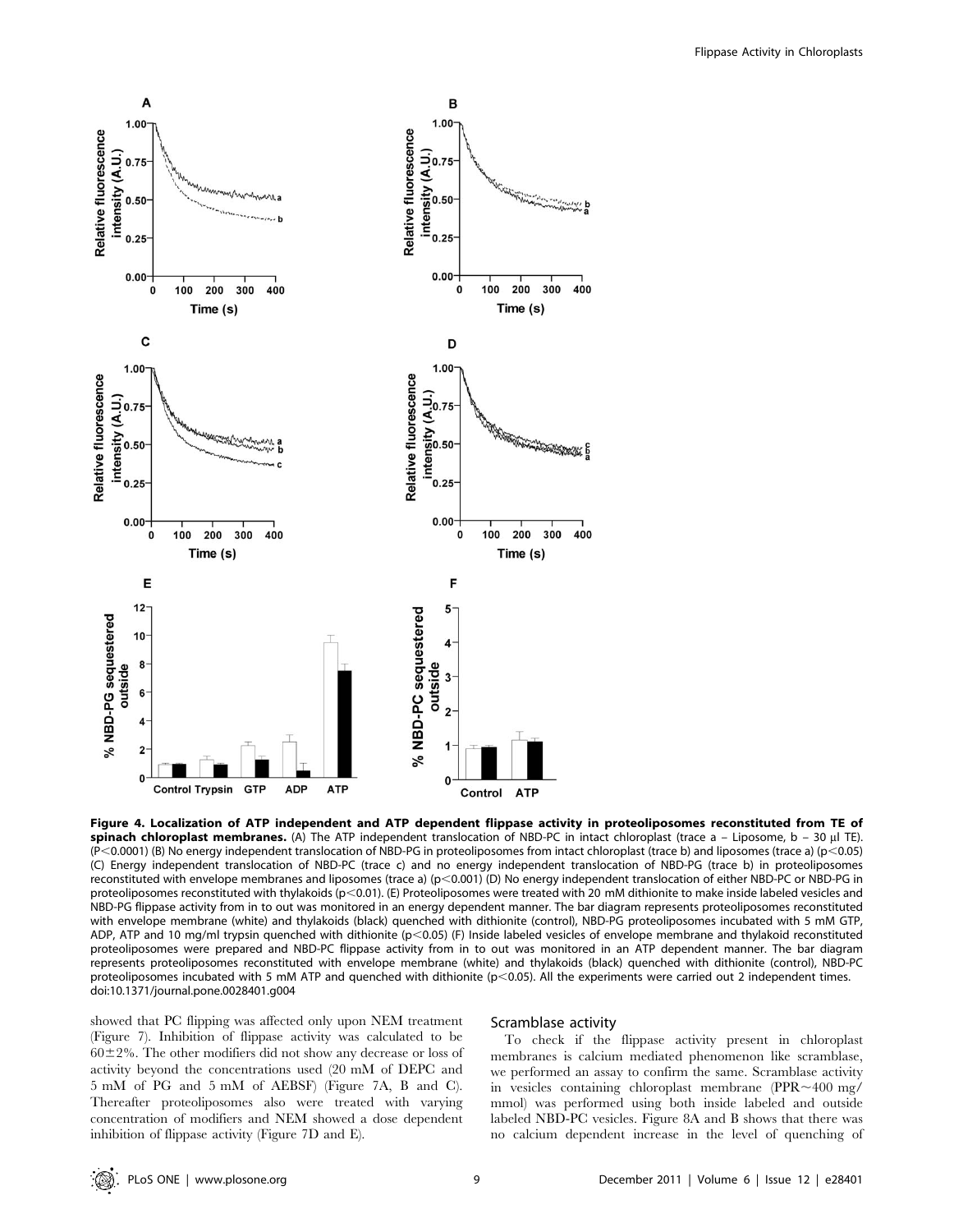

Figure 4. Localization of ATP independent and ATP dependent flippase activity in proteoliposomes reconstituted from TE of spinach chloroplast membranes. (A) The ATP independent translocation of NBD-PC in intact chloroplast (trace  $a - Liposome, b - 30 \mu$  TE).  $(P< 0.0001)$  (B) No energy independent translocation of NBD-PG in proteoliposomes from intact chloroplast (trace b) and liposomes (trace a) (p $< 0.05$ ) (C) Energy independent translocation of NBD-PC (trace c) and no energy independent translocation of NBD-PG (trace b) in proteoliposomes reconstituted with envelope membranes and liposomes (trace a) ( $p<0.001$ ) (D) No energy independent translocation of either NBD-PC or NBD-PG in proteoliposomes reconstituted with thylakoids (p<0.01). (E) Proteoliposomes were treated with 20 mM dithionite to make inside labeled vesicles and NBD-PG flippase activity from in to out was monitored in an energy dependent manner. The bar diagram represents proteoliposomes reconstituted with envelope membrane (white) and thylakoids (black) quenched with dithionite (control), NBD-PG proteoliposomes incubated with 5 mM GTP, ADP, ATP and 10 mg/ml trypsin quenched with dithionite (p<0.05) (F) Inside labeled vesicles of envelope membrane and thylakoid reconstituted proteoliposomes were prepared and NBD-PC flippase activity from in to out was monitored in an ATP dependent manner. The bar diagram represents proteoliposomes reconstituted with envelope membrane (white) and thylakoids (black) quenched with dithionite (control), NBD-PC proteoliposomes incubated with 5 mM ATP and quenched with dithionite ( $p<0.05$ ). All the experiments were carried out 2 independent times. doi:10.1371/journal.pone.0028401.g004

showed that PC flipping was affected only upon NEM treatment (Figure 7). Inhibition of flippase activity was calculated to be  $60\pm2\%$ . The other modifiers did not show any decrease or loss of activity beyond the concentrations used (20 mM of DEPC and 5 mM of PG and 5 mM of AEBSF) (Figure 7A, B and C). Thereafter proteoliposomes also were treated with varying concentration of modifiers and NEM showed a dose dependent inhibition of flippase activity (Figure 7D and E).

## Scramblase activity

To check if the flippase activity present in chloroplast membranes is calcium mediated phenomenon like scramblase, we performed an assay to confirm the same. Scramblase activity in vesicles containing chloroplast membrane (PPR $\sim$ 400 mg/ mmol) was performed using both inside labeled and outside labeled NBD-PC vesicles. Figure 8A and B shows that there was no calcium dependent increase in the level of quenching of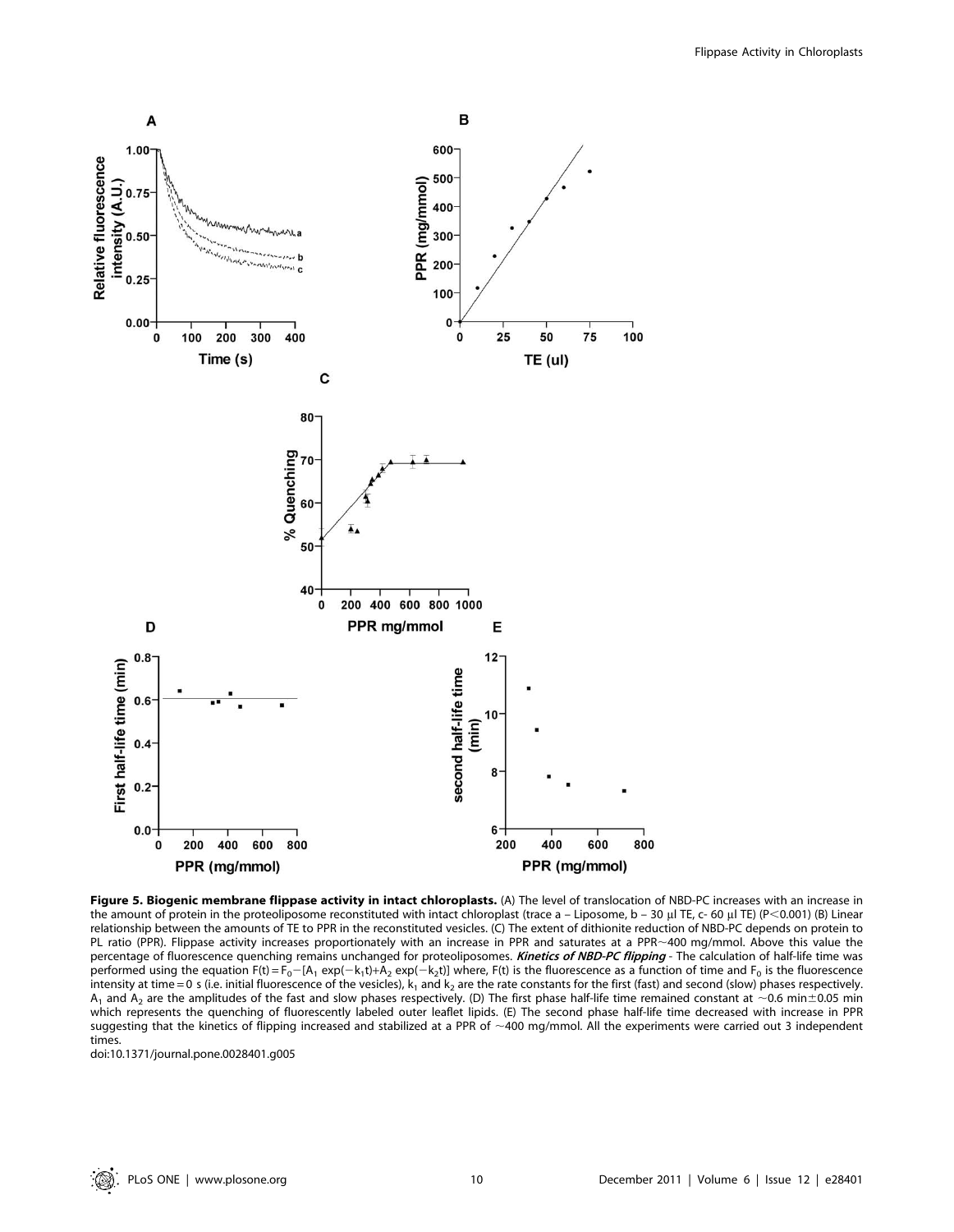

Figure 5. Biogenic membrane flippase activity in intact chloroplasts. (A) The level of translocation of NBD-PC increases with an increase in the amount of protein in the proteoliposome reconstituted with intact chloroplast (trace a – Liposome, b – 30 µl TE, c- 60 µl TE) (P<0.001) (B) Linear relationship between the amounts of TE to PPR in the reconstituted vesicles. (C) The extent of dithionite reduction of NBD-PC depends on protein to PL ratio (PPR). Flippase activity increases proportionately with an increase in PPR and saturates at a PPR~400 mg/mmol. Above this value the percentage of fluorescence quenching remains unchanged for proteoliposomes. Kinetics of NBD-PC flipping - The calculation of half-life time was performed using the equation  $F(t) = F_0 - [A_1 \exp(-k_1t) + A_2 \exp(-k_2t)]$  where,  $F(t)$  is the fluorescence as a function of time and  $F_0$  is the fluorescence intensity at time = 0 s (i.e. initial fluorescence of the vesicles),  $k_1$  and  $k_2$  are the rate constants for the first (fast) and second (slow) phases respectively. A<sub>1</sub> and A<sub>2</sub> are the amplitudes of the fast and slow phases respectively. (D) The first phase half-life time remained constant at ~0.6 min±0.05 min which represents the quenching of fluorescently labeled outer leaflet lipids. (E) The second phase half-life time decreased with increase in PPR suggesting that the kinetics of flipping increased and stabilized at a PPR of  $\sim$ 400 mg/mmol. All the experiments were carried out 3 independent times.

doi:10.1371/journal.pone.0028401.g005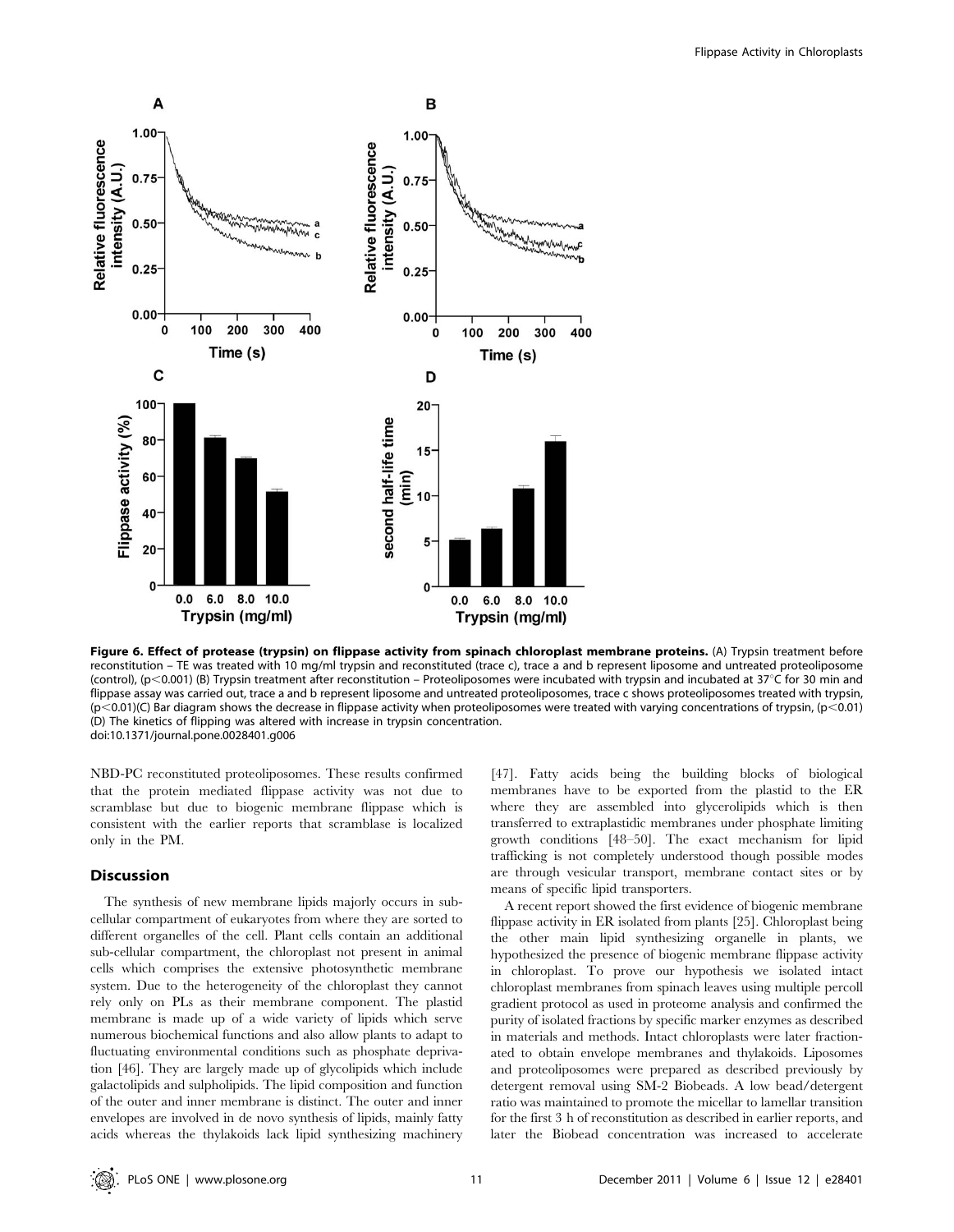

Figure 6. Effect of protease (trypsin) on flippase activity from spinach chloroplast membrane proteins. (A) Trypsin treatment before reconstitution – TE was treated with 10 mg/ml trypsin and reconstituted (trace c), trace a and b represent liposome and untreated proteoliposome (control), (p<0.001) (B) Trypsin treatment after reconstitution – Proteoliposomes were incubated with trypsin and incubated at 37°C for 30 min and flippase assay was carried out, trace a and b represent liposome and untreated proteoliposomes, trace c shows proteoliposomes treated with trypsin,  $(p<0.01)$ (C) Bar diagram shows the decrease in flippase activity when proteoliposomes were treated with varying concentrations of trypsin,  $(p<0.01)$ (D) The kinetics of flipping was altered with increase in trypsin concentration. doi:10.1371/journal.pone.0028401.g006

NBD-PC reconstituted proteoliposomes. These results confirmed that the protein mediated flippase activity was not due to scramblase but due to biogenic membrane flippase which is consistent with the earlier reports that scramblase is localized only in the PM.

# Discussion

The synthesis of new membrane lipids majorly occurs in subcellular compartment of eukaryotes from where they are sorted to different organelles of the cell. Plant cells contain an additional sub-cellular compartment, the chloroplast not present in animal cells which comprises the extensive photosynthetic membrane system. Due to the heterogeneity of the chloroplast they cannot rely only on PLs as their membrane component. The plastid membrane is made up of a wide variety of lipids which serve numerous biochemical functions and also allow plants to adapt to fluctuating environmental conditions such as phosphate deprivation [46]. They are largely made up of glycolipids which include galactolipids and sulpholipids. The lipid composition and function of the outer and inner membrane is distinct. The outer and inner envelopes are involved in de novo synthesis of lipids, mainly fatty acids whereas the thylakoids lack lipid synthesizing machinery

[47]. Fatty acids being the building blocks of biological membranes have to be exported from the plastid to the ER where they are assembled into glycerolipids which is then transferred to extraplastidic membranes under phosphate limiting growth conditions [48–50]. The exact mechanism for lipid trafficking is not completely understood though possible modes are through vesicular transport, membrane contact sites or by means of specific lipid transporters.

A recent report showed the first evidence of biogenic membrane flippase activity in ER isolated from plants [25]. Chloroplast being the other main lipid synthesizing organelle in plants, we hypothesized the presence of biogenic membrane flippase activity in chloroplast. To prove our hypothesis we isolated intact chloroplast membranes from spinach leaves using multiple percoll gradient protocol as used in proteome analysis and confirmed the purity of isolated fractions by specific marker enzymes as described in materials and methods. Intact chloroplasts were later fractionated to obtain envelope membranes and thylakoids. Liposomes and proteoliposomes were prepared as described previously by detergent removal using SM-2 Biobeads. A low bead/detergent ratio was maintained to promote the micellar to lamellar transition for the first 3 h of reconstitution as described in earlier reports, and later the Biobead concentration was increased to accelerate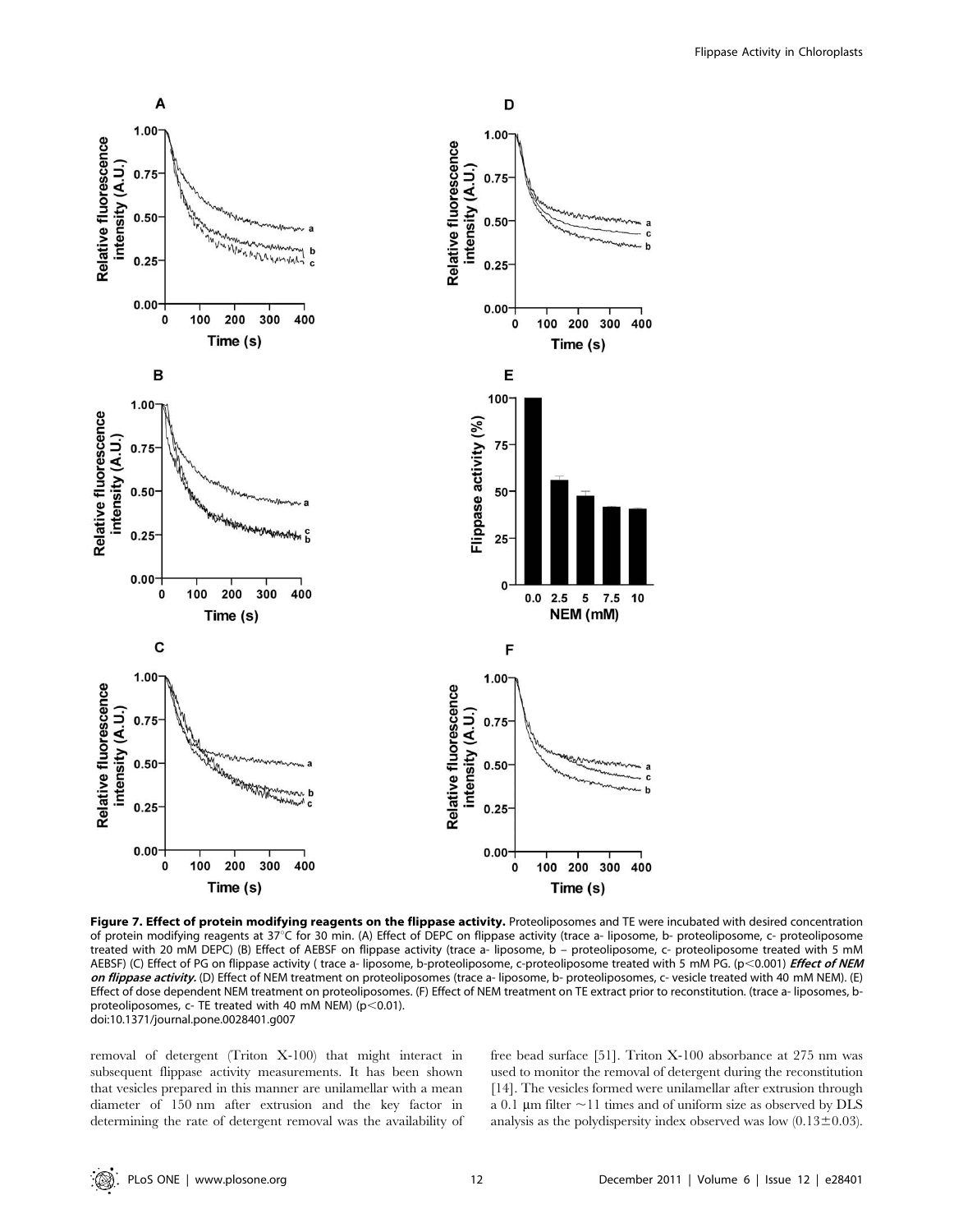

Figure 7. Effect of protein modifying reagents on the flippase activity. Proteoliposomes and TE were incubated with desired concentration of protein modifying reagents at 37°C for 30 min. (A) Effect of DEPC on flippase activity (trace a- liposome, b- proteoliposome, c- proteoliposome treated with 20 mM DEPC) (B) Effect of AEBSF on flippase activity (trace a- liposome, b – proteoliposome, c- proteoliposome treated with 5 mM AEBSF) (C) Effect of PG on flippase activity (trace a- liposome, b-proteoliposome, c-proteoliposome treated with 5 mM PG. (p<0.001) Effect of NEM on flippase activity. (D) Effect of NEM treatment on proteoliposomes (trace a- liposome, b- proteoliposomes, c- vesicle treated with 40 mM NEM). (E) Effect of dose dependent NEM treatment on proteoliposomes. (F) Effect of NEM treatment on TE extract prior to reconstitution. (trace a- liposomes, bproteoliposomes,  $c$ - TE treated with 40 mM NEM) ( $p$ <0.01). doi:10.1371/journal.pone.0028401.g007

removal of detergent (Triton X-100) that might interact in subsequent flippase activity measurements. It has been shown that vesicles prepared in this manner are unilamellar with a mean diameter of 150 nm after extrusion and the key factor in determining the rate of detergent removal was the availability of free bead surface [51]. Triton X-100 absorbance at 275 nm was used to monitor the removal of detergent during the reconstitution [14]. The vesicles formed were unilamellar after extrusion through a 0.1  $\mu$ m filter  $\sim$ 11 times and of uniform size as observed by DLS analysis as the polydispersity index observed was low  $(0.13 \pm 0.03)$ .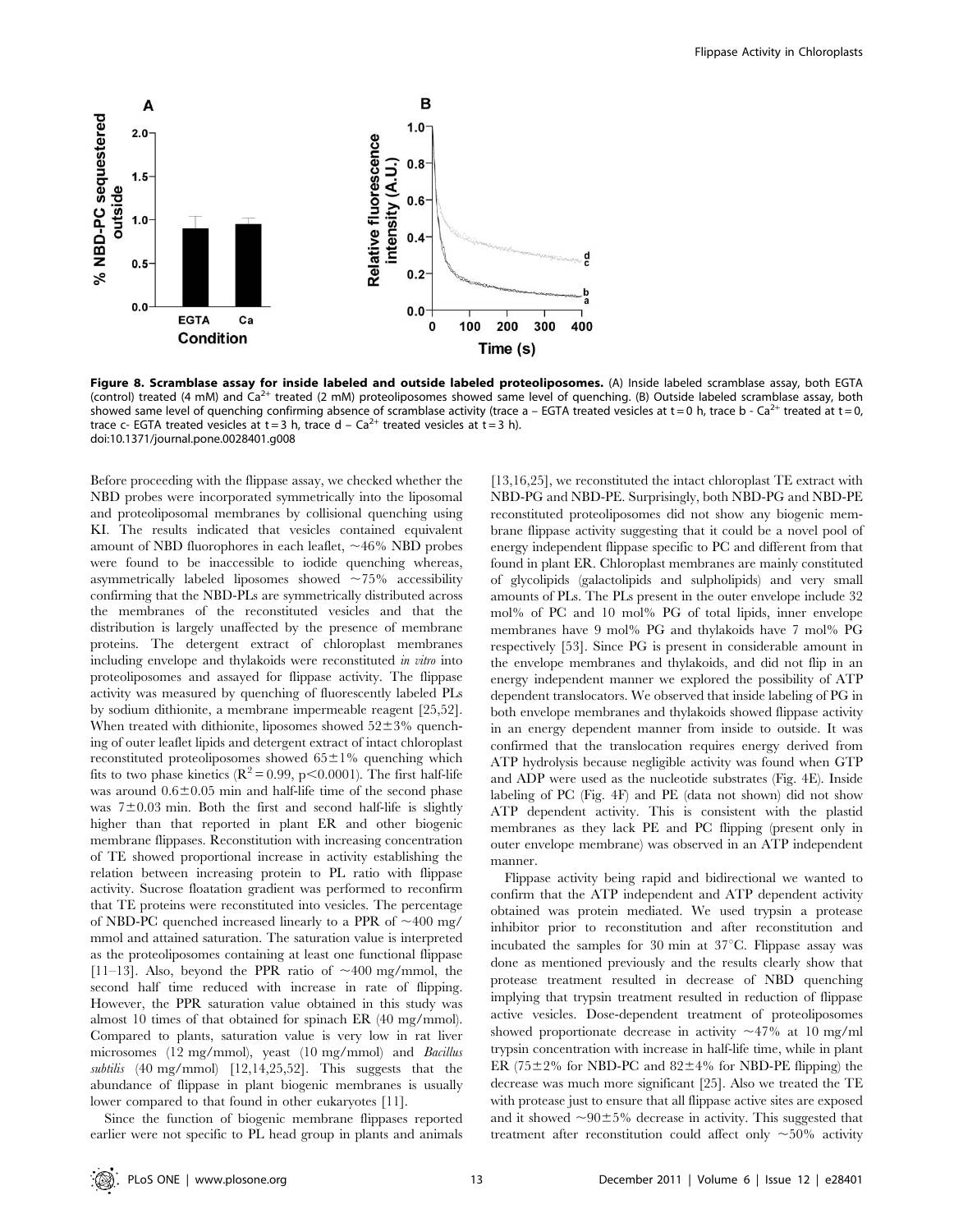

Figure 8. Scramblase assay for inside labeled and outside labeled proteoliposomes. (A) Inside labeled scramblase assay, both EGTA (control) treated (4 mM) and Ca<sup>2+</sup> treated (2 mM) proteoliposomes showed same level of quenching. (B) Outside labeled scramblase assay, both showed same level of quenching confirming absence of scramblase activity (trace a – EGTA treated vesicles at  $t = 0$  h, trace b - Ca<sup>2+</sup> treated at  $t = 0$ , trace c- EGTA treated vesicles at  $t = 3$  h, trace d – Ca<sup>2+</sup> treated vesicles at  $t = 3$  h). doi:10.1371/journal.pone.0028401.g008

Before proceeding with the flippase assay, we checked whether the NBD probes were incorporated symmetrically into the liposomal and proteoliposomal membranes by collisional quenching using KI. The results indicated that vesicles contained equivalent amount of NBD fluorophores in each leaflet,  $\sim$ 46% NBD probes were found to be inaccessible to iodide quenching whereas, asymmetrically labeled liposomes showed  $\sim 75\%$  accessibility confirming that the NBD-PLs are symmetrically distributed across the membranes of the reconstituted vesicles and that the distribution is largely unaffected by the presence of membrane proteins. The detergent extract of chloroplast membranes including envelope and thylakoids were reconstituted in vitro into proteoliposomes and assayed for flippase activity. The flippase activity was measured by quenching of fluorescently labeled PLs by sodium dithionite, a membrane impermeable reagent [25,52]. When treated with dithionite, liposomes showed  $52\pm3\%$  quenching of outer leaflet lipids and detergent extract of intact chloroplast reconstituted proteoliposomes showed  $65\pm1\%$  quenching which fits to two phase kinetics ( $\mathbb{R}^2 = 0.99$ , p $\leq 0.0001$ ). The first half-life was around  $0.6\pm0.05$  min and half-life time of the second phase was  $7\pm0.03$  min. Both the first and second half-life is slightly higher than that reported in plant ER and other biogenic membrane flippases. Reconstitution with increasing concentration of TE showed proportional increase in activity establishing the relation between increasing protein to PL ratio with flippase activity. Sucrose floatation gradient was performed to reconfirm that TE proteins were reconstituted into vesicles. The percentage of NBD-PC quenched increased linearly to a PPR of  $\sim$ 400 mg/ mmol and attained saturation. The saturation value is interpreted as the proteoliposomes containing at least one functional flippase [11–13]. Also, beyond the PPR ratio of  $\sim$ 400 mg/mmol, the second half time reduced with increase in rate of flipping. However, the PPR saturation value obtained in this study was almost 10 times of that obtained for spinach ER (40 mg/mmol). Compared to plants, saturation value is very low in rat liver microsomes (12 mg/mmol), yeast (10 mg/mmol) and Bacillus subtilis (40 mg/mmol) [12,14,25,52]. This suggests that the abundance of flippase in plant biogenic membranes is usually lower compared to that found in other eukaryotes [11].

Since the function of biogenic membrane flippases reported earlier were not specific to PL head group in plants and animals

[13,16,25], we reconstituted the intact chloroplast TE extract with NBD-PG and NBD-PE. Surprisingly, both NBD-PG and NBD-PE reconstituted proteoliposomes did not show any biogenic membrane flippase activity suggesting that it could be a novel pool of energy independent flippase specific to PC and different from that found in plant ER. Chloroplast membranes are mainly constituted of glycolipids (galactolipids and sulpholipids) and very small amounts of PLs. The PLs present in the outer envelope include 32 mol% of PC and 10 mol% PG of total lipids, inner envelope membranes have 9 mol% PG and thylakoids have 7 mol% PG respectively [53]. Since PG is present in considerable amount in the envelope membranes and thylakoids, and did not flip in an energy independent manner we explored the possibility of ATP dependent translocators. We observed that inside labeling of PG in both envelope membranes and thylakoids showed flippase activity in an energy dependent manner from inside to outside. It was confirmed that the translocation requires energy derived from ATP hydrolysis because negligible activity was found when GTP and ADP were used as the nucleotide substrates (Fig. 4E). Inside labeling of PC (Fig. 4F) and PE (data not shown) did not show ATP dependent activity. This is consistent with the plastid membranes as they lack PE and PC flipping (present only in outer envelope membrane) was observed in an ATP independent manner.

Flippase activity being rapid and bidirectional we wanted to confirm that the ATP independent and ATP dependent activity obtained was protein mediated. We used trypsin a protease inhibitor prior to reconstitution and after reconstitution and incubated the samples for 30 min at  $37^{\circ}$ C. Flippase assay was done as mentioned previously and the results clearly show that protease treatment resulted in decrease of NBD quenching implying that trypsin treatment resulted in reduction of flippase active vesicles. Dose-dependent treatment of proteoliposomes showed proportionate decrease in activity  $\sim$ 47% at 10 mg/ml trypsin concentration with increase in half-life time, while in plant ER (75 $\pm$ 2% for NBD-PC and 82 $\pm$ 4% for NBD-PE flipping) the decrease was much more significant [25]. Also we treated the TE with protease just to ensure that all flippase active sites are exposed and it showed  $\sim 90 \pm 5\%$  decrease in activity. This suggested that treatment after reconstitution could affect only  $\sim$ 50% activity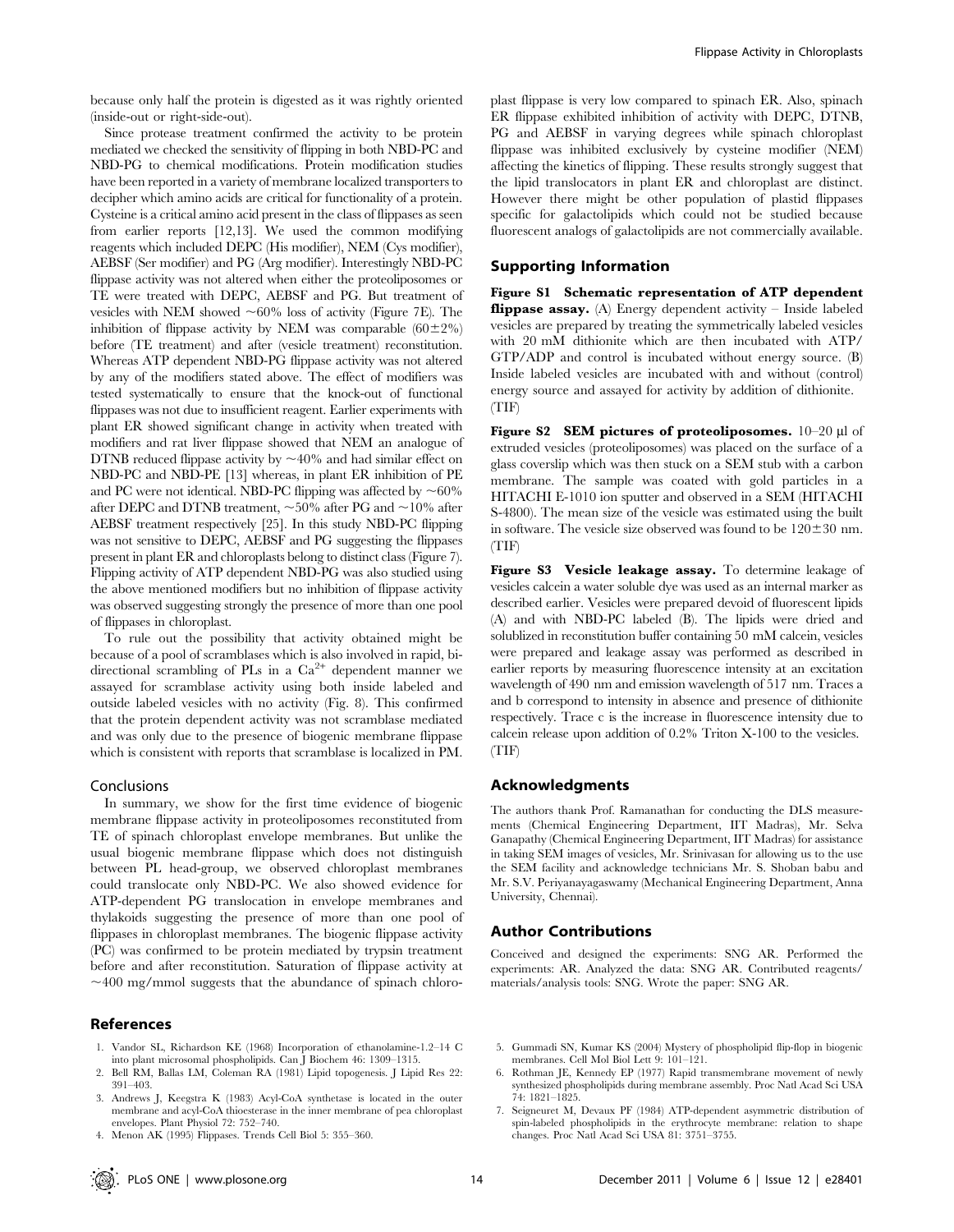because only half the protein is digested as it was rightly oriented (inside-out or right-side-out).

Since protease treatment confirmed the activity to be protein mediated we checked the sensitivity of flipping in both NBD-PC and NBD-PG to chemical modifications. Protein modification studies have been reported in a variety of membrane localized transporters to decipher which amino acids are critical for functionality of a protein. Cysteine is a critical amino acid present in the class of flippases as seen from earlier reports [12,13]. We used the common modifying reagents which included DEPC (His modifier), NEM (Cys modifier), AEBSF (Ser modifier) and PG (Arg modifier). Interestingly NBD-PC flippase activity was not altered when either the proteoliposomes or TE were treated with DEPC, AEBSF and PG. But treatment of vesicles with NEM showed  $\sim 60\%$  loss of activity (Figure 7E). The inhibition of flippase activity by NEM was comparable  $(60\pm2\%)$ before (TE treatment) and after (vesicle treatment) reconstitution. Whereas ATP dependent NBD-PG flippase activity was not altered by any of the modifiers stated above. The effect of modifiers was tested systematically to ensure that the knock-out of functional flippases was not due to insufficient reagent. Earlier experiments with plant ER showed significant change in activity when treated with modifiers and rat liver flippase showed that NEM an analogue of DTNB reduced flippase activity by  $\sim$ 40% and had similar effect on NBD-PC and NBD-PE [13] whereas, in plant ER inhibition of PE and PC were not identical. NBD-PC flipping was affected by  $\sim 60\%$ after DEPC and DTNB treatment,  $\sim$  50% after PG and  $\sim$  10% after AEBSF treatment respectively [25]. In this study NBD-PC flipping was not sensitive to DEPC, AEBSF and PG suggesting the flippases present in plant ER and chloroplasts belong to distinct class (Figure 7). Flipping activity of ATP dependent NBD-PG was also studied using the above mentioned modifiers but no inhibition of flippase activity was observed suggesting strongly the presence of more than one pool of flippases in chloroplast.

To rule out the possibility that activity obtained might be because of a pool of scramblases which is also involved in rapid, bidirectional scrambling of PLs in a  $Ca^{2+}$  dependent manner we assayed for scramblase activity using both inside labeled and outside labeled vesicles with no activity (Fig. 8). This confirmed that the protein dependent activity was not scramblase mediated and was only due to the presence of biogenic membrane flippase which is consistent with reports that scramblase is localized in PM.

## Conclusions

In summary, we show for the first time evidence of biogenic membrane flippase activity in proteoliposomes reconstituted from TE of spinach chloroplast envelope membranes. But unlike the usual biogenic membrane flippase which does not distinguish between PL head-group, we observed chloroplast membranes could translocate only NBD-PC. We also showed evidence for ATP-dependent PG translocation in envelope membranes and thylakoids suggesting the presence of more than one pool of flippases in chloroplast membranes. The biogenic flippase activity (PC) was confirmed to be protein mediated by trypsin treatment before and after reconstitution. Saturation of flippase activity at  $\sim$ 400 mg/mmol suggests that the abundance of spinach chloro-

## References

- 1. Vandor SL, Richardson KE (1968) Incorporation of ethanolamine-1.2–14 C into plant microsomal phospholipids. Can J Biochem 46: 1309–1315.
- 2. Bell RM, Ballas LM, Coleman RA (1981) Lipid topogenesis. J Lipid Res 22: 391–403.
- 3. Andrews J, Keegstra K (1983) Acyl-CoA synthetase is located in the outer membrane and acyl-CoA thioesterase in the inner membrane of pea chloroplast envelopes. Plant Physiol 72: 752–740.
- 4. Menon AK (1995) Flippases. Trends Cell Biol 5: 355–360.

plast flippase is very low compared to spinach ER. Also, spinach ER flippase exhibited inhibition of activity with DEPC, DTNB, PG and AEBSF in varying degrees while spinach chloroplast flippase was inhibited exclusively by cysteine modifier (NEM) affecting the kinetics of flipping. These results strongly suggest that the lipid translocators in plant ER and chloroplast are distinct. However there might be other population of plastid flippases specific for galactolipids which could not be studied because fluorescent analogs of galactolipids are not commercially available.

## Supporting Information

Figure S1 Schematic representation of ATP dependent flippase assay. (A) Energy dependent activity – Inside labeled vesicles are prepared by treating the symmetrically labeled vesicles with 20 mM dithionite which are then incubated with ATP/ GTP/ADP and control is incubated without energy source. (B) Inside labeled vesicles are incubated with and without (control) energy source and assayed for activity by addition of dithionite. (TIF)

Figure S2 SEM pictures of proteoliposomes.  $10-20 \mu$ l of extruded vesicles (proteoliposomes) was placed on the surface of a glass coverslip which was then stuck on a SEM stub with a carbon membrane. The sample was coated with gold particles in a HITACHI E-1010 ion sputter and observed in a SEM (HITACHI S-4800). The mean size of the vesicle was estimated using the built in software. The vesicle size observed was found to be  $120 \pm 30$  nm. (TIF)

Figure S3 Vesicle leakage assay. To determine leakage of vesicles calcein a water soluble dye was used as an internal marker as described earlier. Vesicles were prepared devoid of fluorescent lipids (A) and with NBD-PC labeled (B). The lipids were dried and solublized in reconstitution buffer containing 50 mM calcein, vesicles were prepared and leakage assay was performed as described in earlier reports by measuring fluorescence intensity at an excitation wavelength of 490 nm and emission wavelength of 517 nm. Traces a and b correspond to intensity in absence and presence of dithionite respectively. Trace c is the increase in fluorescence intensity due to calcein release upon addition of 0.2% Triton X-100 to the vesicles. (TIF)

## Acknowledgments

The authors thank Prof. Ramanathan for conducting the DLS measurements (Chemical Engineering Department, IIT Madras), Mr. Selva Ganapathy (Chemical Engineering Department, IIT Madras) for assistance in taking SEM images of vesicles, Mr. Srinivasan for allowing us to the use the SEM facility and acknowledge technicians Mr. S. Shoban babu and Mr. S.V. Periyanayagaswamy (Mechanical Engineering Department, Anna University, Chennai).

## Author Contributions

Conceived and designed the experiments: SNG AR. Performed the experiments: AR. Analyzed the data: SNG AR. Contributed reagents/ materials/analysis tools: SNG. Wrote the paper: SNG AR.

- 5. Gummadi SN, Kumar KS (2004) Mystery of phospholipid flip-flop in biogenic membranes. Cell Mol Biol Lett 9: 101–121.
- 6. Rothman JE, Kennedy EP (1977) Rapid transmembrane movement of newly synthesized phospholipids during membrane assembly. Proc Natl Acad Sci USA 74: 1821–1825.
- 7. Seigneuret M, Devaux PF (1984) ATP-dependent asymmetric distribution of spin-labeled phospholipids in the erythrocyte membrane: relation to shape changes. Proc Natl Acad Sci USA 81: 3751–3755.